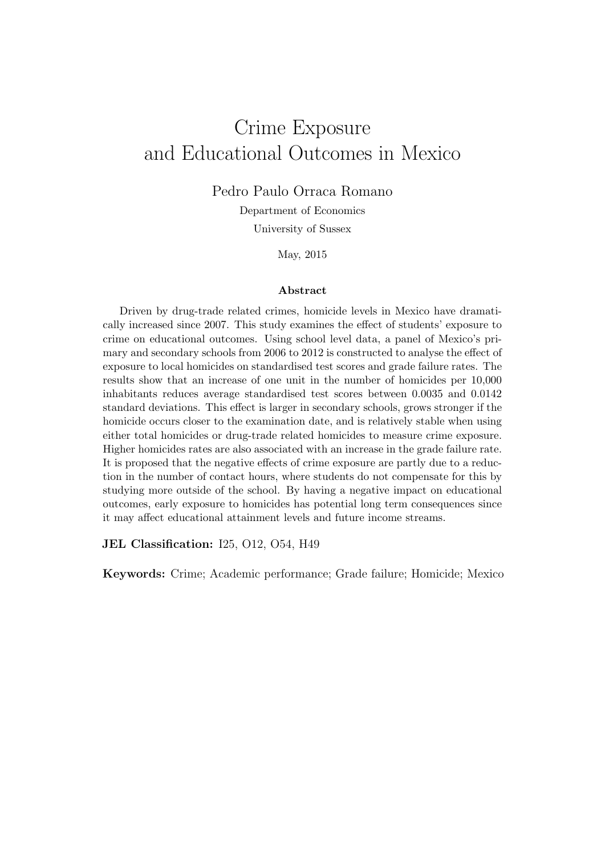# Crime Exposure and Educational Outcomes in Mexico

Pedro Paulo Orraca Romano

Department of Economics

University of Sussex

May, 2015

#### Abstract

Driven by drug-trade related crimes, homicide levels in Mexico have dramatically increased since 2007. This study examines the effect of students' exposure to crime on educational outcomes. Using school level data, a panel of Mexico's primary and secondary schools from 2006 to 2012 is constructed to analyse the effect of exposure to local homicides on standardised test scores and grade failure rates. The results show that an increase of one unit in the number of homicides per 10,000 inhabitants reduces average standardised test scores between 0.0035 and 0.0142 standard deviations. This effect is larger in secondary schools, grows stronger if the homicide occurs closer to the examination date, and is relatively stable when using either total homicides or drug-trade related homicides to measure crime exposure. Higher homicides rates are also associated with an increase in the grade failure rate. It is proposed that the negative effects of crime exposure are partly due to a reduction in the number of contact hours, where students do not compensate for this by studying more outside of the school. By having a negative impact on educational outcomes, early exposure to homicides has potential long term consequences since it may affect educational attainment levels and future income streams.

JEL Classification: I25, O12, O54, H49

Keywords: Crime; Academic performance; Grade failure; Homicide; Mexico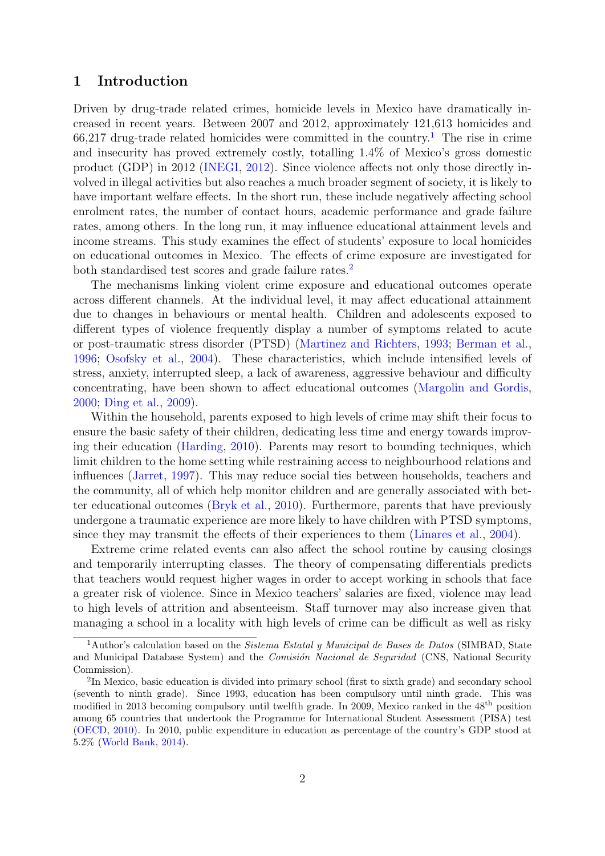## 1 Introduction

Driven by drug-trade related crimes, homicide levels in Mexico have dramatically increased in recent years. Between 2007 and 2012, approximately 121,613 homicides and  $66,217$  $66,217$  $66,217$  drug-trade related homicides were committed in the country.<sup>1</sup> The rise in crime and insecurity has proved extremely costly, totalling 1.4% of Mexico's gross domestic product (GDP) in 2012 [\(INEGI,](#page-18-0) [2012\)](#page-18-0). Since violence affects not only those directly involved in illegal activities but also reaches a much broader segment of society, it is likely to have important welfare effects. In the short run, these include negatively affecting school enrolment rates, the number of contact hours, academic performance and grade failure rates, among others. In the long run, it may influence educational attainment levels and income streams. This study examines the effect of students' exposure to local homicides on educational outcomes in Mexico. The effects of crime exposure are investigated for both standardised test scores and grade failure rates.<sup>[2](#page-1-1)</sup>

The mechanisms linking violent crime exposure and educational outcomes operate across different channels. At the individual level, it may affect educational attainment due to changes in behaviours or mental health. Children and adolescents exposed to different types of violence frequently display a number of symptoms related to acute or post-traumatic stress disorder (PTSD) [\(Martinez and Richters,](#page-18-1) [1993;](#page-18-1) [Berman et al.,](#page-17-0) [1996;](#page-17-0) [Osofsky et al.,](#page-19-0) [2004\)](#page-19-0). These characteristics, which include intensified levels of stress, anxiety, interrupted sleep, a lack of awareness, aggressive behaviour and difficulty concentrating, have been shown to affect educational outcomes [\(Margolin and Gordis,](#page-18-2) [2000;](#page-18-2) [Ding et al.,](#page-17-1) [2009\)](#page-17-1).

Within the household, parents exposed to high levels of crime may shift their focus to ensure the basic safety of their children, dedicating less time and energy towards improving their education [\(Harding,](#page-18-3) [2010\)](#page-18-3). Parents may resort to bounding techniques, which limit children to the home setting while restraining access to neighbourhood relations and influences [\(Jarret,](#page-18-4) [1997\)](#page-18-4). This may reduce social ties between households, teachers and the community, all of which help monitor children and are generally associated with better educational outcomes [\(Bryk et al.,](#page-17-2) [2010\)](#page-17-2). Furthermore, parents that have previously undergone a traumatic experience are more likely to have children with PTSD symptoms, since they may transmit the effects of their experiences to them [\(Linares et al.,](#page-18-5) [2004\)](#page-18-5).

Extreme crime related events can also affect the school routine by causing closings and temporarily interrupting classes. The theory of compensating differentials predicts that teachers would request higher wages in order to accept working in schools that face a greater risk of violence. Since in Mexico teachers' salaries are fixed, violence may lead to high levels of attrition and absenteeism. Staff turnover may also increase given that managing a school in a locality with high levels of crime can be difficult as well as risky

<span id="page-1-0"></span><sup>&</sup>lt;sup>1</sup>Author's calculation based on the *Sistema Estatal y Municipal de Bases de Datos* (SIMBAD, State and Municipal Database System) and the Comisión Nacional de Seguridad (CNS, National Security Commission).

<span id="page-1-1"></span><sup>&</sup>lt;sup>2</sup>In Mexico, basic education is divided into primary school (first to sixth grade) and secondary school (seventh to ninth grade). Since 1993, education has been compulsory until ninth grade. This was modified in 2013 becoming compulsory until twelfth grade. In 2009, Mexico ranked in the 48th position among 65 countries that undertook the Programme for International Student Assessment (PISA) test [\(OECD,](#page-18-6) [2010\)](#page-18-6). In 2010, public expenditure in education as percentage of the country's GDP stood at 5.2% [\(World-Bank,](#page-19-1) [2014\)](#page-19-1).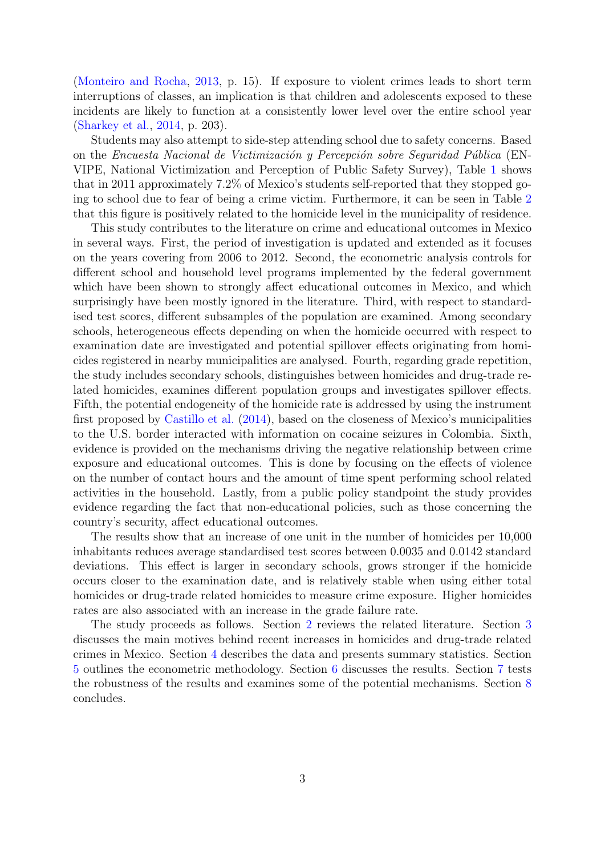[\(Monteiro and Rocha,](#page-18-7) [2013,](#page-18-7) p. 15). If exposure to violent crimes leads to short term interruptions of classes, an implication is that children and adolescents exposed to these incidents are likely to function at a consistently lower level over the entire school year [\(Sharkey et al.,](#page-19-2) [2014,](#page-19-2) p. 203).

Students may also attempt to side-step attending school due to safety concerns. Based on the Encuesta Nacional de Victimización y Percepción sobre Seguridad Pública (EN-VIPE, National Victimization and Perception of Public Safety Survey), Table [1](#page-20-0) shows that in 2011 approximately 7.2% of Mexico's students self-reported that they stopped going to school due to fear of being a crime victim. Furthermore, it can be seen in Table [2](#page-20-1) that this figure is positively related to the homicide level in the municipality of residence.

This study contributes to the literature on crime and educational outcomes in Mexico in several ways. First, the period of investigation is updated and extended as it focuses on the years covering from 2006 to 2012. Second, the econometric analysis controls for different school and household level programs implemented by the federal government which have been shown to strongly affect educational outcomes in Mexico, and which surprisingly have been mostly ignored in the literature. Third, with respect to standardised test scores, different subsamples of the population are examined. Among secondary schools, heterogeneous effects depending on when the homicide occurred with respect to examination date are investigated and potential spillover effects originating from homicides registered in nearby municipalities are analysed. Fourth, regarding grade repetition, the study includes secondary schools, distinguishes between homicides and drug-trade related homicides, examines different population groups and investigates spillover effects. Fifth, the potential endogeneity of the homicide rate is addressed by using the instrument first proposed by [Castillo et al.](#page-17-3) [\(2014\)](#page-17-3), based on the closeness of Mexico's municipalities to the U.S. border interacted with information on cocaine seizures in Colombia. Sixth, evidence is provided on the mechanisms driving the negative relationship between crime exposure and educational outcomes. This is done by focusing on the effects of violence on the number of contact hours and the amount of time spent performing school related activities in the household. Lastly, from a public policy standpoint the study provides evidence regarding the fact that non-educational policies, such as those concerning the country's security, affect educational outcomes.

The results show that an increase of one unit in the number of homicides per 10,000 inhabitants reduces average standardised test scores between 0.0035 and 0.0142 standard deviations. This effect is larger in secondary schools, grows stronger if the homicide occurs closer to the examination date, and is relatively stable when using either total homicides or drug-trade related homicides to measure crime exposure. Higher homicides rates are also associated with an increase in the grade failure rate.

<span id="page-2-0"></span>The study proceeds as follows. Section [2](#page-2-0) reviews the related literature. Section [3](#page-3-0) discusses the main motives behind recent increases in homicides and drug-trade related crimes in Mexico. Section [4](#page-6-0) describes the data and presents summary statistics. Section [5](#page-9-0) outlines the econometric methodology. Section [6](#page-10-0) discusses the results. Section [7](#page-12-0) tests the robustness of the results and examines some of the potential mechanisms. Section [8](#page-15-0) concludes.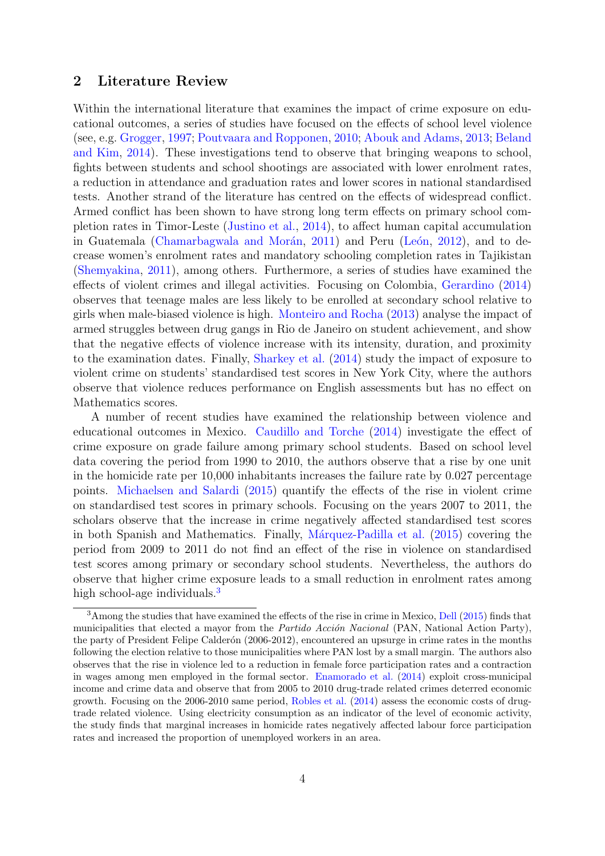## 2 Literature Review

Within the international literature that examines the impact of crime exposure on educational outcomes, a series of studies have focused on the effects of school level violence (see, e.g. [Grogger,](#page-17-4) [1997;](#page-17-4) [Poutvaara and Ropponen,](#page-19-3) [2010;](#page-19-3) [Abouk and Adams,](#page-16-0) [2013;](#page-16-0) [Beland](#page-17-5) [and Kim,](#page-17-5) [2014\)](#page-17-5). These investigations tend to observe that bringing weapons to school, fights between students and school shootings are associated with lower enrolment rates, a reduction in attendance and graduation rates and lower scores in national standardised tests. Another strand of the literature has centred on the effects of widespread conflict. Armed conflict has been shown to have strong long term effects on primary school completion rates in Timor-Leste [\(Justino et al.,](#page-18-8) [2014\)](#page-18-8), to affect human capital accumulation in Guatemala (Chamarbagwala and Morán, [2011\)](#page-17-6) and Peru (León, [2012\)](#page-18-9), and to decrease women's enrolment rates and mandatory schooling completion rates in Tajikistan [\(Shemyakina,](#page-19-4) [2011\)](#page-19-4), among others. Furthermore, a series of studies have examined the effects of violent crimes and illegal activities. Focusing on Colombia, [Gerardino](#page-17-7) [\(2014\)](#page-17-7) observes that teenage males are less likely to be enrolled at secondary school relative to girls when male-biased violence is high. [Monteiro and Rocha](#page-18-7) [\(2013\)](#page-18-7) analyse the impact of armed struggles between drug gangs in Rio de Janeiro on student achievement, and show that the negative effects of violence increase with its intensity, duration, and proximity to the examination dates. Finally, [Sharkey et al.](#page-19-2) [\(2014\)](#page-19-2) study the impact of exposure to violent crime on students' standardised test scores in New York City, where the authors observe that violence reduces performance on English assessments but has no effect on Mathematics scores.

A number of recent studies have examined the relationship between violence and educational outcomes in Mexico. [Caudillo and Torche](#page-17-8) [\(2014\)](#page-17-8) investigate the effect of crime exposure on grade failure among primary school students. Based on school level data covering the period from 1990 to 2010, the authors observe that a rise by one unit in the homicide rate per 10,000 inhabitants increases the failure rate by 0.027 percentage points. [Michaelsen and Salardi](#page-18-10) [\(2015\)](#page-18-10) quantify the effects of the rise in violent crime on standardised test scores in primary schools. Focusing on the years 2007 to 2011, the scholars observe that the increase in crime negatively affected standardised test scores in both Spanish and Mathematics. Finally, Márquez-Padilla et al. [\(2015\)](#page-18-11) covering the period from 2009 to 2011 do not find an effect of the rise in violence on standardised test scores among primary or secondary school students. Nevertheless, the authors do observe that higher crime exposure leads to a small reduction in enrolment rates among high school-age individuals.<sup>[3](#page-3-1)</sup>

<span id="page-3-1"></span><span id="page-3-0"></span><sup>&</sup>lt;sup>3</sup>Among the studies that have examined the effects of the rise in crime in Mexico, [Dell](#page-17-9) [\(2015\)](#page-17-9) finds that municipalities that elected a mayor from the *Partido Acción Nacional* (PAN, National Action Party), the party of President Felipe Calderón (2006-2012), encountered an upsurge in crime rates in the months following the election relative to those municipalities where PAN lost by a small margin. The authors also observes that the rise in violence led to a reduction in female force participation rates and a contraction in wages among men employed in the formal sector. [Enamorado et al.](#page-17-10) [\(2014\)](#page-17-10) exploit cross-municipal income and crime data and observe that from 2005 to 2010 drug-trade related crimes deterred economic growth. Focusing on the 2006-2010 same period, [Robles et al.](#page-19-5) [\(2014\)](#page-19-5) assess the economic costs of drugtrade related violence. Using electricity consumption as an indicator of the level of economic activity, the study finds that marginal increases in homicide rates negatively affected labour force participation rates and increased the proportion of unemployed workers in an area.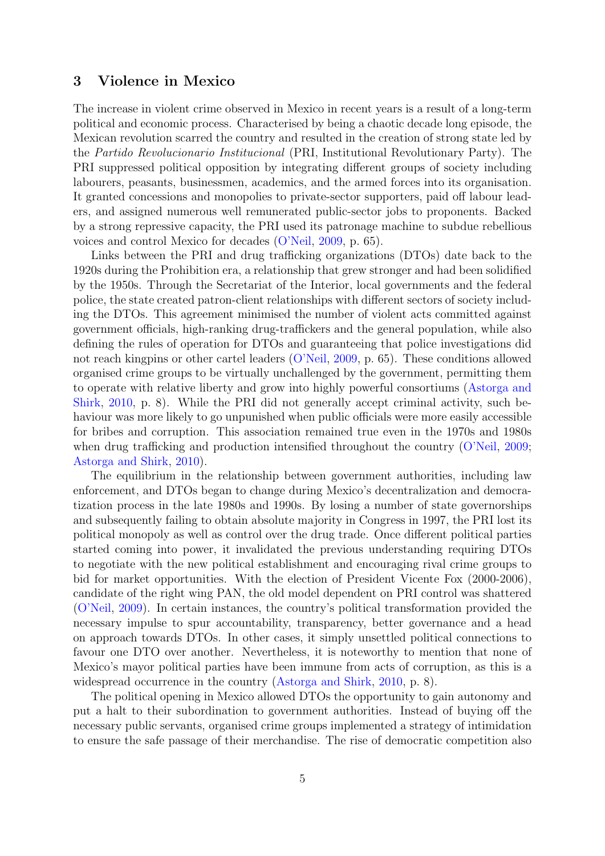## 3 Violence in Mexico

The increase in violent crime observed in Mexico in recent years is a result of a long-term political and economic process. Characterised by being a chaotic decade long episode, the Mexican revolution scarred the country and resulted in the creation of strong state led by the Partido Revolucionario Institucional (PRI, Institutional Revolutionary Party). The PRI suppressed political opposition by integrating different groups of society including labourers, peasants, businessmen, academics, and the armed forces into its organisation. It granted concessions and monopolies to private-sector supporters, paid off labour leaders, and assigned numerous well remunerated public-sector jobs to proponents. Backed by a strong repressive capacity, the PRI used its patronage machine to subdue rebellious voices and control Mexico for decades [\(O'Neil,](#page-19-6) [2009,](#page-19-6) p. 65).

Links between the PRI and drug trafficking organizations (DTOs) date back to the 1920s during the Prohibition era, a relationship that grew stronger and had been solidified by the 1950s. Through the Secretariat of the Interior, local governments and the federal police, the state created patron-client relationships with different sectors of society including the DTOs. This agreement minimised the number of violent acts committed against government officials, high-ranking drug-traffickers and the general population, while also defining the rules of operation for DTOs and guaranteeing that police investigations did not reach kingpins or other cartel leaders [\(O'Neil,](#page-19-6) [2009,](#page-19-6) p. 65). These conditions allowed organised crime groups to be virtually unchallenged by the government, permitting them to operate with relative liberty and grow into highly powerful consortiums [\(Astorga and](#page-16-1) [Shirk,](#page-16-1) [2010,](#page-16-1) p. 8). While the PRI did not generally accept criminal activity, such behaviour was more likely to go unpunished when public officials were more easily accessible for bribes and corruption. This association remained true even in the 1970s and 1980s when drug trafficking and production intensified throughout the country [\(O'Neil,](#page-19-6) [2009;](#page-19-6) [Astorga and Shirk,](#page-16-1) [2010\)](#page-16-1).

The equilibrium in the relationship between government authorities, including law enforcement, and DTOs began to change during Mexico's decentralization and democratization process in the late 1980s and 1990s. By losing a number of state governorships and subsequently failing to obtain absolute majority in Congress in 1997, the PRI lost its political monopoly as well as control over the drug trade. Once different political parties started coming into power, it invalidated the previous understanding requiring DTOs to negotiate with the new political establishment and encouraging rival crime groups to bid for market opportunities. With the election of President Vicente Fox (2000-2006), candidate of the right wing PAN, the old model dependent on PRI control was shattered [\(O'Neil,](#page-19-6) [2009\)](#page-19-6). In certain instances, the country's political transformation provided the necessary impulse to spur accountability, transparency, better governance and a head on approach towards DTOs. In other cases, it simply unsettled political connections to favour one DTO over another. Nevertheless, it is noteworthy to mention that none of Mexico's mayor political parties have been immune from acts of corruption, as this is a widespread occurrence in the country [\(Astorga and Shirk,](#page-16-1) [2010,](#page-16-1) p. 8).

The political opening in Mexico allowed DTOs the opportunity to gain autonomy and put a halt to their subordination to government authorities. Instead of buying off the necessary public servants, organised crime groups implemented a strategy of intimidation to ensure the safe passage of their merchandise. The rise of democratic competition also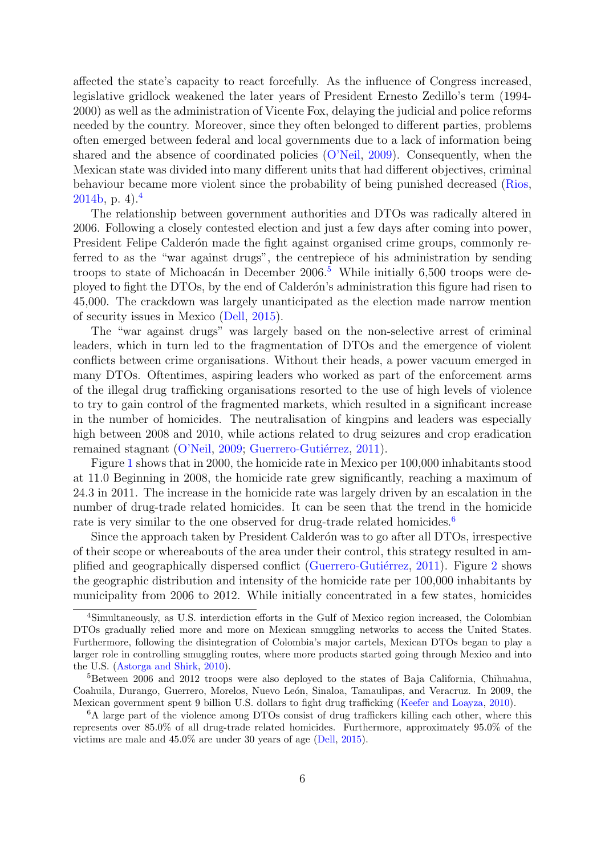affected the state's capacity to react forcefully. As the influence of Congress increased, legislative gridlock weakened the later years of President Ernesto Zedillo's term (1994- 2000) as well as the administration of Vicente Fox, delaying the judicial and police reforms needed by the country. Moreover, since they often belonged to different parties, problems often emerged between federal and local governments due to a lack of information being shared and the absence of coordinated policies [\(O'Neil,](#page-19-6) [2009\)](#page-19-6). Consequently, when the Mexican state was divided into many different units that had different objectives, criminal behaviour became more violent since the probability of being punished decreased [\(Rios,](#page-19-7) [2014b,](#page-19-7) p. [4](#page-5-0)).<sup>4</sup>

The relationship between government authorities and DTOs was radically altered in 2006. Following a closely contested election and just a few days after coming into power, President Felipe Calderón made the fight against organised crime groups, commonly referred to as the "war against drugs", the centrepiece of his administration by sending troops to state of Michoacán in December  $2006<sup>5</sup>$  $2006<sup>5</sup>$  $2006<sup>5</sup>$  While initially 6,500 troops were deployed to fight the DTOs, by the end of Calder´on's administration this figure had risen to 45,000. The crackdown was largely unanticipated as the election made narrow mention of security issues in Mexico [\(Dell,](#page-17-9) [2015\)](#page-17-9).

The "war against drugs" was largely based on the non-selective arrest of criminal leaders, which in turn led to the fragmentation of DTOs and the emergence of violent conflicts between crime organisations. Without their heads, a power vacuum emerged in many DTOs. Oftentimes, aspiring leaders who worked as part of the enforcement arms of the illegal drug trafficking organisations resorted to the use of high levels of violence to try to gain control of the fragmented markets, which resulted in a significant increase in the number of homicides. The neutralisation of kingpins and leaders was especially high between 2008 and 2010, while actions related to drug seizures and crop eradication remained stagnant [\(O'Neil,](#page-19-6) [2009;](#page-19-6) Guerrero-Gutiérrez, [2011\)](#page-18-12).

Figure [1](#page-29-0) shows that in 2000, the homicide rate in Mexico per 100,000 inhabitants stood at 11.0 Beginning in 2008, the homicide rate grew significantly, reaching a maximum of 24.3 in 2011. The increase in the homicide rate was largely driven by an escalation in the number of drug-trade related homicides. It can be seen that the trend in the homicide rate is very similar to the one observed for drug-trade related homicides.<sup>[6](#page-5-2)</sup>

Since the approach taken by President Calderón was to go after all DTOs, irrespective of their scope or whereabouts of the area under their control, this strategy resulted in amplified and geographically dispersed conflict (Guerrero-Gutiérrez,  $2011$  $2011$ ). Figure 2 shows the geographic distribution and intensity of the homicide rate per 100,000 inhabitants by municipality from 2006 to 2012. While initially concentrated in a few states, homicides

<span id="page-5-0"></span><sup>4</sup>Simultaneously, as U.S. interdiction efforts in the Gulf of Mexico region increased, the Colombian DTOs gradually relied more and more on Mexican smuggling networks to access the United States. Furthermore, following the disintegration of Colombia's major cartels, Mexican DTOs began to play a larger role in controlling smuggling routes, where more products started going through Mexico and into the U.S. [\(Astorga and Shirk,](#page-16-1) [2010\)](#page-16-1).

<span id="page-5-1"></span> $5B$ etween 2006 and 2012 troops were also deployed to the states of Baja California, Chihuahua, Coahuila, Durango, Guerrero, Morelos, Nuevo León, Sinaloa, Tamaulipas, and Veracruz. In 2009, the Mexican government spent 9 billion U.S. dollars to fight drug trafficking [\(Keefer and Loayza,](#page-18-13) [2010\)](#page-18-13).

<span id="page-5-2"></span><sup>&</sup>lt;sup>6</sup>A large part of the violence among DTOs consist of drug traffickers killing each other, where this represents over 85.0% of all drug-trade related homicides. Furthermore, approximately 95.0% of the victims are male and 45.0% are under 30 years of age [\(Dell,](#page-17-9) [2015\)](#page-17-9).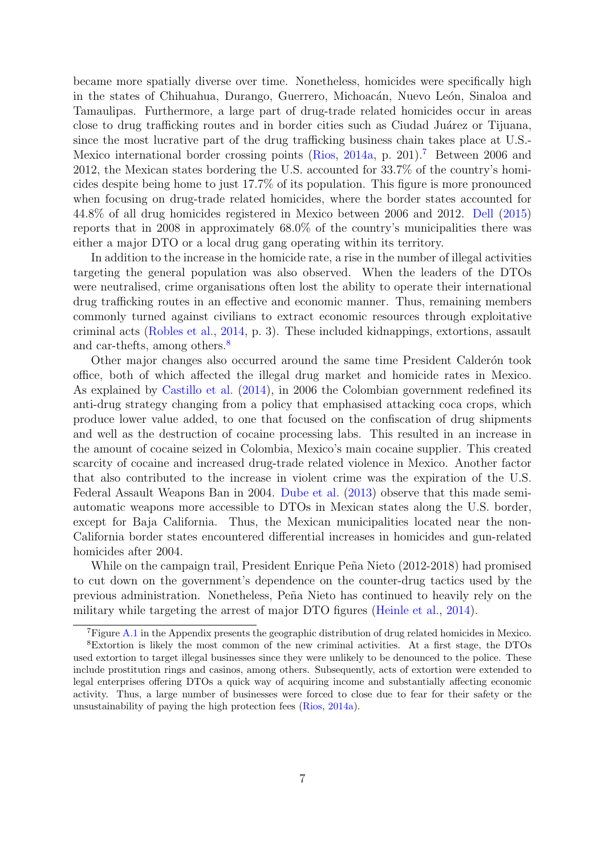became more spatially diverse over time. Nonetheless, homicides were specifically high in the states of Chihuahua, Durango, Guerrero, Michoacán, Nuevo León, Sinaloa and Tamaulipas. Furthermore, a large part of drug-trade related homicides occur in areas close to drug trafficking routes and in border cities such as Ciudad Juárez or Tijuana, since the most lucrative part of the drug trafficking business chain takes place at U.S.- Mexico international border crossing points [\(Rios,](#page-19-8) [2014a,](#page-19-8) p. 201).[7](#page-6-1) Between 2006 and 2012, the Mexican states bordering the U.S. accounted for 33.7% of the country's homicides despite being home to just 17.7% of its population. This figure is more pronounced when focusing on drug-trade related homicides, where the border states accounted for 44.8% of all drug homicides registered in Mexico between 2006 and 2012. [Dell](#page-17-9) [\(2015\)](#page-17-9) reports that in 2008 in approximately 68.0% of the country's municipalities there was either a major DTO or a local drug gang operating within its territory.

In addition to the increase in the homicide rate, a rise in the number of illegal activities targeting the general population was also observed. When the leaders of the DTOs were neutralised, crime organisations often lost the ability to operate their international drug trafficking routes in an effective and economic manner. Thus, remaining members commonly turned against civilians to extract economic resources through exploitative criminal acts [\(Robles et al.,](#page-19-5) [2014,](#page-19-5) p. 3). These included kidnappings, extortions, assault and car-thefts, among others.<sup>[8](#page-6-2)</sup>

Other major changes also occurred around the same time President Calderon took office, both of which affected the illegal drug market and homicide rates in Mexico. As explained by [Castillo et al.](#page-17-3) [\(2014\)](#page-17-3), in 2006 the Colombian government redefined its anti-drug strategy changing from a policy that emphasised attacking coca crops, which produce lower value added, to one that focused on the confiscation of drug shipments and well as the destruction of cocaine processing labs. This resulted in an increase in the amount of cocaine seized in Colombia, Mexico's main cocaine supplier. This created scarcity of cocaine and increased drug-trade related violence in Mexico. Another factor that also contributed to the increase in violent crime was the expiration of the U.S. Federal Assault Weapons Ban in 2004. [Dube et al.](#page-17-11) [\(2013\)](#page-17-11) observe that this made semiautomatic weapons more accessible to DTOs in Mexican states along the U.S. border, except for Baja California. Thus, the Mexican municipalities located near the non-California border states encountered differential increases in homicides and gun-related homicides after 2004.

While on the campaign trail, President Enrique Peña Nieto (2012-2018) had promised to cut down on the government's dependence on the counter-drug tactics used by the previous administration. Nonetheless, Peña Nieto has continued to heavily rely on the military while targeting the arrest of major DTO figures [\(Heinle et al.,](#page-18-14) [2014\)](#page-18-14).

<span id="page-6-2"></span><span id="page-6-1"></span><span id="page-6-0"></span><sup>7</sup>Figure [A.1](#page-32-0) in the Appendix presents the geographic distribution of drug related homicides in Mexico.

<sup>8</sup>Extortion is likely the most common of the new criminal activities. At a first stage, the DTOs used extortion to target illegal businesses since they were unlikely to be denounced to the police. These include prostitution rings and casinos, among others. Subsequently, acts of extortion were extended to legal enterprises offering DTOs a quick way of acquiring income and substantially affecting economic activity. Thus, a large number of businesses were forced to close due to fear for their safety or the unsustainability of paying the high protection fees [\(Rios,](#page-19-8) [2014a\)](#page-19-8).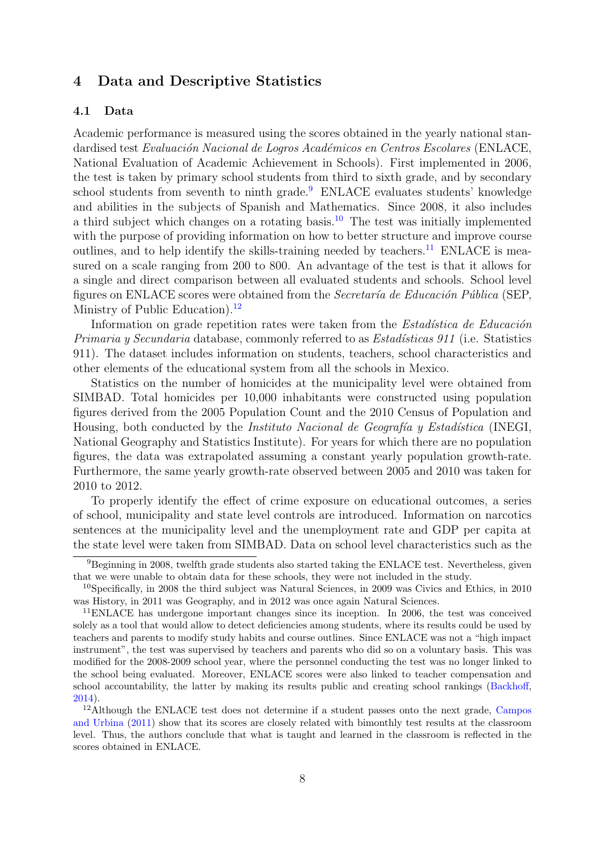## 4 Data and Descriptive Statistics

#### 4.1 Data

Academic performance is measured using the scores obtained in the yearly national standardised test Evaluación Nacional de Logros Académicos en Centros Escolares (ENLACE, National Evaluation of Academic Achievement in Schools). First implemented in 2006, the test is taken by primary school students from third to sixth grade, and by secondary school students from seventh to ninth grade.<sup>[9](#page-7-0)</sup> ENLACE evaluates students' knowledge and abilities in the subjects of Spanish and Mathematics. Since 2008, it also includes a third subject which changes on a rotating basis.<sup>[10](#page-7-1)</sup> The test was initially implemented with the purpose of providing information on how to better structure and improve course outlines, and to help identify the skills-training needed by teachers.<sup>[11](#page-7-2)</sup> ENLACE is measured on a scale ranging from 200 to 800. An advantage of the test is that it allows for a single and direct comparison between all evaluated students and schools. School level figures on ENLACE scores were obtained from the Secretaría de Educación Pública (SEP, Ministry of Public Education).<sup>[12](#page-7-3)</sup>

Information on grade repetition rates were taken from the *Estadística de Educación* Primaria y Secundaria database, commonly referred to as *Estadísticas 911* (i.e. Statistics 911). The dataset includes information on students, teachers, school characteristics and other elements of the educational system from all the schools in Mexico.

Statistics on the number of homicides at the municipality level were obtained from SIMBAD. Total homicides per 10,000 inhabitants were constructed using population figures derived from the 2005 Population Count and the 2010 Census of Population and Housing, both conducted by the *Instituto Nacional de Geografía y Estadística* (INEGI, National Geography and Statistics Institute). For years for which there are no population figures, the data was extrapolated assuming a constant yearly population growth-rate. Furthermore, the same yearly growth-rate observed between 2005 and 2010 was taken for 2010 to 2012.

To properly identify the effect of crime exposure on educational outcomes, a series of school, municipality and state level controls are introduced. Information on narcotics sentences at the municipality level and the unemployment rate and GDP per capita at the state level were taken from SIMBAD. Data on school level characteristics such as the

<span id="page-7-0"></span><sup>9</sup>Beginning in 2008, twelfth grade students also started taking the ENLACE test. Nevertheless, given that we were unable to obtain data for these schools, they were not included in the study.

<span id="page-7-1"></span><sup>10</sup>Specifically, in 2008 the third subject was Natural Sciences, in 2009 was Civics and Ethics, in 2010 was History, in 2011 was Geography, and in 2012 was once again Natural Sciences.

<span id="page-7-2"></span><sup>&</sup>lt;sup>11</sup>ENLACE has undergone important changes since its inception. In 2006, the test was conceived solely as a tool that would allow to detect deficiencies among students, where its results could be used by teachers and parents to modify study habits and course outlines. Since ENLACE was not a "high impact instrument", the test was supervised by teachers and parents who did so on a voluntary basis. This was modified for the 2008-2009 school year, where the personnel conducting the test was no longer linked to the school being evaluated. Moreover, ENLACE scores were also linked to teacher compensation and school accountability, the latter by making its results public and creating school rankings [\(Backhoff,](#page-16-2) [2014\)](#page-16-2).

<span id="page-7-3"></span><sup>&</sup>lt;sup>12</sup>Although the ENLACE test does not determine if a student passes onto the next grade, [Campos](#page-17-12) [and Urbina](#page-17-12) [\(2011\)](#page-17-12) show that its scores are closely related with bimonthly test results at the classroom level. Thus, the authors conclude that what is taught and learned in the classroom is reflected in the scores obtained in ENLACE.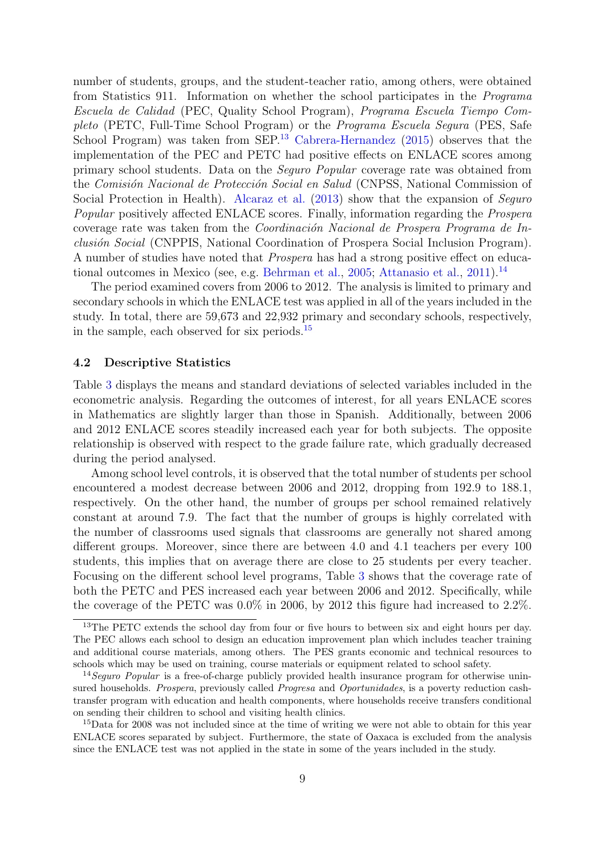number of students, groups, and the student-teacher ratio, among others, were obtained from Statistics 911. Information on whether the school participates in the Programa Escuela de Calidad (PEC, Quality School Program), Programa Escuela Tiempo Completo (PETC, Full-Time School Program) or the Programa Escuela Segura (PES, Safe School Program) was taken from SEP.<sup>[13](#page-8-0)</sup> [Cabrera-Hernandez](#page-17-13) [\(2015\)](#page-17-13) observes that the implementation of the PEC and PETC had positive effects on ENLACE scores among primary school students. Data on the Seguro Popular coverage rate was obtained from the Comisión Nacional de Protección Social en Salud (CNPSS, National Commission of Social Protection in Health). [Alcaraz et al.](#page-16-3) [\(2013\)](#page-16-3) show that the expansion of Seguro Popular positively affected ENLACE scores. Finally, information regarding the Prospera coverage rate was taken from the *Coordinación Nacional de Prospera Programa de In*clusión Social (CNPPIS, National Coordination of Prospera Social Inclusion Program). A number of studies have noted that Prospera has had a strong positive effect on educa-tional outcomes in Mexico (see, e.g. [Behrman et al.,](#page-17-14) [2005;](#page-17-14) [Attanasio et al.,](#page-16-4) [2011\)](#page-16-4).<sup>[14](#page-8-1)</sup>

The period examined covers from 2006 to 2012. The analysis is limited to primary and secondary schools in which the ENLACE test was applied in all of the years included in the study. In total, there are 59,673 and 22,932 primary and secondary schools, respectively, in the sample, each observed for six periods.[15](#page-8-2)

#### 4.2 Descriptive Statistics

Table [3](#page-21-0) displays the means and standard deviations of selected variables included in the econometric analysis. Regarding the outcomes of interest, for all years ENLACE scores in Mathematics are slightly larger than those in Spanish. Additionally, between 2006 and 2012 ENLACE scores steadily increased each year for both subjects. The opposite relationship is observed with respect to the grade failure rate, which gradually decreased during the period analysed.

Among school level controls, it is observed that the total number of students per school encountered a modest decrease between 2006 and 2012, dropping from 192.9 to 188.1, respectively. On the other hand, the number of groups per school remained relatively constant at around 7.9. The fact that the number of groups is highly correlated with the number of classrooms used signals that classrooms are generally not shared among different groups. Moreover, since there are between 4.0 and 4.1 teachers per every 100 students, this implies that on average there are close to 25 students per every teacher. Focusing on the different school level programs, Table [3](#page-21-0) shows that the coverage rate of both the PETC and PES increased each year between 2006 and 2012. Specifically, while the coverage of the PETC was 0.0% in 2006, by 2012 this figure had increased to 2.2%.

<span id="page-8-0"></span><sup>&</sup>lt;sup>13</sup>The PETC extends the school day from four or five hours to between six and eight hours per day. The PEC allows each school to design an education improvement plan which includes teacher training and additional course materials, among others. The PES grants economic and technical resources to schools which may be used on training, course materials or equipment related to school safety.

<span id="page-8-1"></span><sup>&</sup>lt;sup>14</sup>Seguro Popular is a free-of-charge publicly provided health insurance program for otherwise uninsured households. Prospera, previously called Progresa and Oportunidades, is a poverty reduction cashtransfer program with education and health components, where households receive transfers conditional on sending their children to school and visiting health clinics.

<span id="page-8-2"></span><sup>15</sup>Data for 2008 was not included since at the time of writing we were not able to obtain for this year ENLACE scores separated by subject. Furthermore, the state of Oaxaca is excluded from the analysis since the ENLACE test was not applied in the state in some of the years included in the study.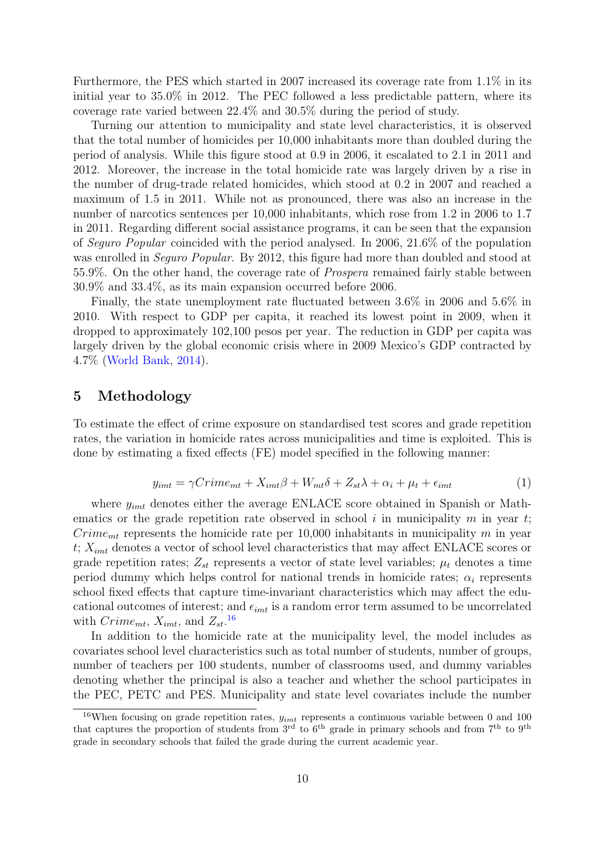Furthermore, the PES which started in 2007 increased its coverage rate from 1.1% in its initial year to 35.0% in 2012. The PEC followed a less predictable pattern, where its coverage rate varied between 22.4% and 30.5% during the period of study.

Turning our attention to municipality and state level characteristics, it is observed that the total number of homicides per 10,000 inhabitants more than doubled during the period of analysis. While this figure stood at 0.9 in 2006, it escalated to 2.1 in 2011 and 2012. Moreover, the increase in the total homicide rate was largely driven by a rise in the number of drug-trade related homicides, which stood at 0.2 in 2007 and reached a maximum of 1.5 in 2011. While not as pronounced, there was also an increase in the number of narcotics sentences per  $10,000$  inhabitants, which rose from 1.2 in 2006 to 1.7 in 2011. Regarding different social assistance programs, it can be seen that the expansion of Seguro Popular coincided with the period analysed. In 2006, 21.6% of the population was enrolled in *Seguro Popular*. By 2012, this figure had more than doubled and stood at 55.9%. On the other hand, the coverage rate of Prospera remained fairly stable between 30.9% and 33.4%, as its main expansion occurred before 2006.

Finally, the state unemployment rate fluctuated between 3.6% in 2006 and 5.6% in 2010. With respect to GDP per capita, it reached its lowest point in 2009, when it dropped to approximately 102,100 pesos per year. The reduction in GDP per capita was largely driven by the global economic crisis where in 2009 Mexico's GDP contracted by 4.7% [\(World-Bank,](#page-19-1) [2014\)](#page-19-1).

## <span id="page-9-0"></span>5 Methodology

To estimate the effect of crime exposure on standardised test scores and grade repetition rates, the variation in homicide rates across municipalities and time is exploited. This is done by estimating a fixed effects (FE) model specified in the following manner:

$$
y_{imt} = \gamma Crim_{emt} + X_{imt}\beta + W_{mt}\delta + Z_{st}\lambda + \alpha_i + \mu_t + \epsilon_{imt}
$$
\n<sup>(1)</sup>

<span id="page-9-2"></span>where  $y_{imt}$  denotes either the average ENLACE score obtained in Spanish or Mathematics or the grade repetition rate observed in school i in municipality  $m$  in year  $t$ ;  $Crim_{emt}$  represents the homicide rate per 10,000 inhabitants in municipality m in year  $t; X_{imt}$  denotes a vector of school level characteristics that may affect ENLACE scores or grade repetition rates;  $Z_{st}$  represents a vector of state level variables;  $\mu_t$  denotes a time period dummy which helps control for national trends in homicide rates;  $\alpha_i$  represents school fixed effects that capture time-invariant characteristics which may affect the educational outcomes of interest; and  $\epsilon_{imt}$  is a random error term assumed to be uncorrelated with  $Crimen_t$ ,  $X_{imt}$ , and  $Z_{st}$ .<sup>[16](#page-9-1)</sup>

In addition to the homicide rate at the municipality level, the model includes as covariates school level characteristics such as total number of students, number of groups, number of teachers per 100 students, number of classrooms used, and dummy variables denoting whether the principal is also a teacher and whether the school participates in the PEC, PETC and PES. Municipality and state level covariates include the number

<span id="page-9-1"></span><sup>&</sup>lt;sup>16</sup>When focusing on grade repetition rates,  $y_{imt}$  represents a continuous variable between 0 and 100 that captures the proportion of students from  $3<sup>rd</sup>$  to  $6<sup>th</sup>$  grade in primary schools and from  $7<sup>th</sup>$  to  $9<sup>th</sup>$ grade in secondary schools that failed the grade during the current academic year.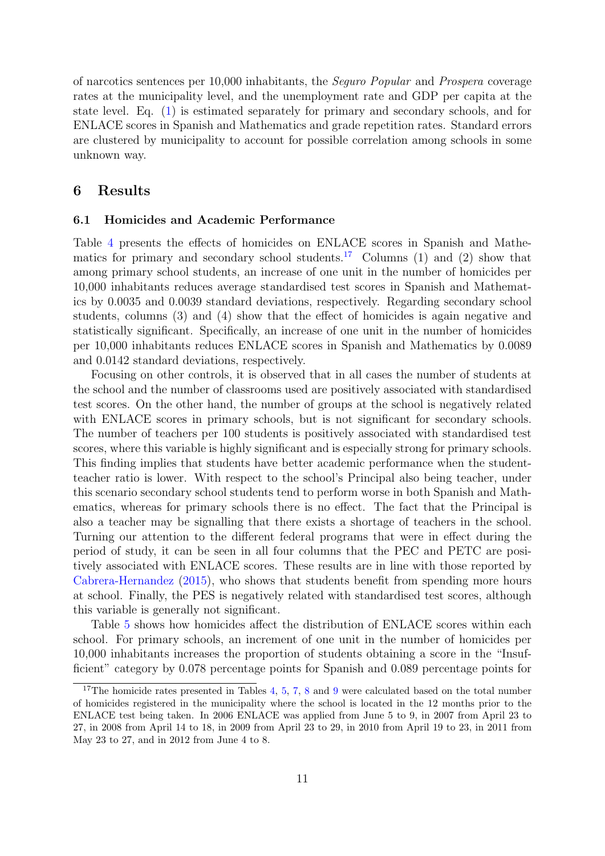of narcotics sentences per 10,000 inhabitants, the Seguro Popular and Prospera coverage rates at the municipality level, and the unemployment rate and GDP per capita at the state level. Eq. [\(1\)](#page-9-2) is estimated separately for primary and secondary schools, and for ENLACE scores in Spanish and Mathematics and grade repetition rates. Standard errors are clustered by municipality to account for possible correlation among schools in some unknown way.

## <span id="page-10-0"></span>6 Results

#### 6.1 Homicides and Academic Performance

Table [4](#page-22-0) presents the effects of homicides on ENLACE scores in Spanish and Mathe-matics for primary and secondary school students.<sup>[17](#page-10-1)</sup> Columns (1) and (2) show that among primary school students, an increase of one unit in the number of homicides per 10,000 inhabitants reduces average standardised test scores in Spanish and Mathematics by 0.0035 and 0.0039 standard deviations, respectively. Regarding secondary school students, columns (3) and (4) show that the effect of homicides is again negative and statistically significant. Specifically, an increase of one unit in the number of homicides per 10,000 inhabitants reduces ENLACE scores in Spanish and Mathematics by 0.0089 and 0.0142 standard deviations, respectively.

Focusing on other controls, it is observed that in all cases the number of students at the school and the number of classrooms used are positively associated with standardised test scores. On the other hand, the number of groups at the school is negatively related with ENLACE scores in primary schools, but is not significant for secondary schools. The number of teachers per 100 students is positively associated with standardised test scores, where this variable is highly significant and is especially strong for primary schools. This finding implies that students have better academic performance when the studentteacher ratio is lower. With respect to the school's Principal also being teacher, under this scenario secondary school students tend to perform worse in both Spanish and Mathematics, whereas for primary schools there is no effect. The fact that the Principal is also a teacher may be signalling that there exists a shortage of teachers in the school. Turning our attention to the different federal programs that were in effect during the period of study, it can be seen in all four columns that the PEC and PETC are positively associated with ENLACE scores. These results are in line with those reported by [Cabrera-Hernandez](#page-17-13) [\(2015\)](#page-17-13), who shows that students benefit from spending more hours at school. Finally, the PES is negatively related with standardised test scores, although this variable is generally not significant.

Table [5](#page-22-1) shows how homicides affect the distribution of ENLACE scores within each school. For primary schools, an increment of one unit in the number of homicides per 10,000 inhabitants increases the proportion of students obtaining a score in the "Insufficient" category by 0.078 percentage points for Spanish and 0.089 percentage points for

<span id="page-10-1"></span><sup>&</sup>lt;sup>17</sup>The homicide rates presented in Tables [4,](#page-22-0) [5,](#page-22-1) [7,](#page-24-0) [8](#page-25-0) and [9](#page-26-0) were calculated based on the total number of homicides registered in the municipality where the school is located in the 12 months prior to the ENLACE test being taken. In 2006 ENLACE was applied from June 5 to 9, in 2007 from April 23 to 27, in 2008 from April 14 to 18, in 2009 from April 23 to 29, in 2010 from April 19 to 23, in 2011 from May 23 to 27, and in 2012 from June 4 to 8.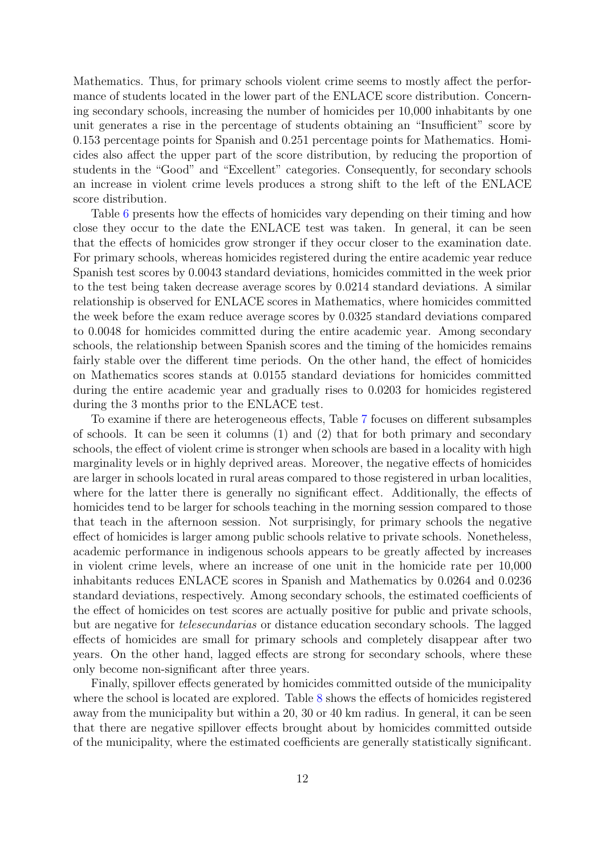Mathematics. Thus, for primary schools violent crime seems to mostly affect the performance of students located in the lower part of the ENLACE score distribution. Concerning secondary schools, increasing the number of homicides per 10,000 inhabitants by one unit generates a rise in the percentage of students obtaining an "Insufficient" score by 0.153 percentage points for Spanish and 0.251 percentage points for Mathematics. Homicides also affect the upper part of the score distribution, by reducing the proportion of students in the "Good" and "Excellent" categories. Consequently, for secondary schools an increase in violent crime levels produces a strong shift to the left of the ENLACE score distribution.

Table [6](#page-23-0) presents how the effects of homicides vary depending on their timing and how close they occur to the date the ENLACE test was taken. In general, it can be seen that the effects of homicides grow stronger if they occur closer to the examination date. For primary schools, whereas homicides registered during the entire academic year reduce Spanish test scores by 0.0043 standard deviations, homicides committed in the week prior to the test being taken decrease average scores by 0.0214 standard deviations. A similar relationship is observed for ENLACE scores in Mathematics, where homicides committed the week before the exam reduce average scores by 0.0325 standard deviations compared to 0.0048 for homicides committed during the entire academic year. Among secondary schools, the relationship between Spanish scores and the timing of the homicides remains fairly stable over the different time periods. On the other hand, the effect of homicides on Mathematics scores stands at 0.0155 standard deviations for homicides committed during the entire academic year and gradually rises to 0.0203 for homicides registered during the 3 months prior to the ENLACE test.

To examine if there are heterogeneous effects, Table [7](#page-24-0) focuses on different subsamples of schools. It can be seen it columns (1) and (2) that for both primary and secondary schools, the effect of violent crime is stronger when schools are based in a locality with high marginality levels or in highly deprived areas. Moreover, the negative effects of homicides are larger in schools located in rural areas compared to those registered in urban localities, where for the latter there is generally no significant effect. Additionally, the effects of homicides tend to be larger for schools teaching in the morning session compared to those that teach in the afternoon session. Not surprisingly, for primary schools the negative effect of homicides is larger among public schools relative to private schools. Nonetheless, academic performance in indigenous schools appears to be greatly affected by increases in violent crime levels, where an increase of one unit in the homicide rate per 10,000 inhabitants reduces ENLACE scores in Spanish and Mathematics by 0.0264 and 0.0236 standard deviations, respectively. Among secondary schools, the estimated coefficients of the effect of homicides on test scores are actually positive for public and private schools, but are negative for telesecundarias or distance education secondary schools. The lagged effects of homicides are small for primary schools and completely disappear after two years. On the other hand, lagged effects are strong for secondary schools, where these only become non-significant after three years.

Finally, spillover effects generated by homicides committed outside of the municipality where the school is located are explored. Table [8](#page-25-0) shows the effects of homicides registered away from the municipality but within a 20, 30 or 40 km radius. In general, it can be seen that there are negative spillover effects brought about by homicides committed outside of the municipality, where the estimated coefficients are generally statistically significant.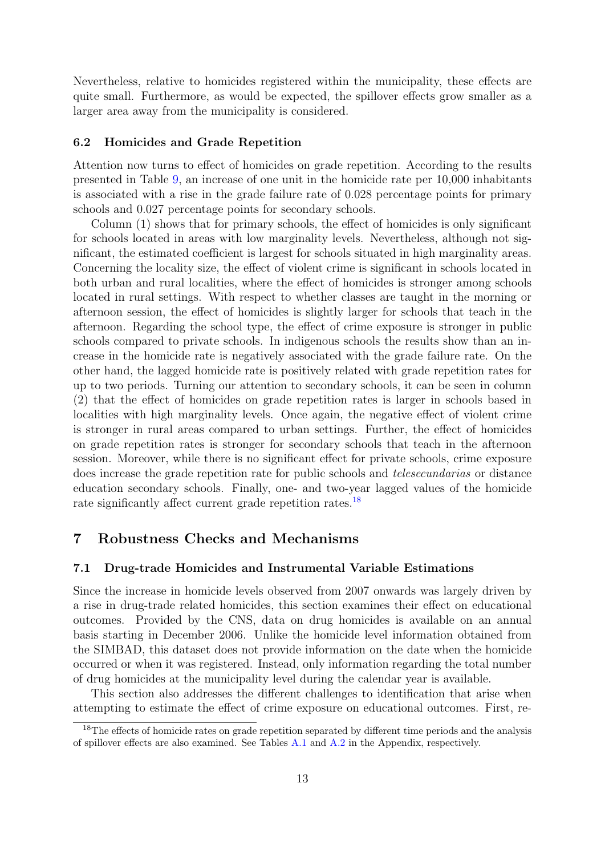Nevertheless, relative to homicides registered within the municipality, these effects are quite small. Furthermore, as would be expected, the spillover effects grow smaller as a larger area away from the municipality is considered.

#### 6.2 Homicides and Grade Repetition

Attention now turns to effect of homicides on grade repetition. According to the results presented in Table [9,](#page-26-0) an increase of one unit in the homicide rate per 10,000 inhabitants is associated with a rise in the grade failure rate of 0.028 percentage points for primary schools and 0.027 percentage points for secondary schools.

Column (1) shows that for primary schools, the effect of homicides is only significant for schools located in areas with low marginality levels. Nevertheless, although not significant, the estimated coefficient is largest for schools situated in high marginality areas. Concerning the locality size, the effect of violent crime is significant in schools located in both urban and rural localities, where the effect of homicides is stronger among schools located in rural settings. With respect to whether classes are taught in the morning or afternoon session, the effect of homicides is slightly larger for schools that teach in the afternoon. Regarding the school type, the effect of crime exposure is stronger in public schools compared to private schools. In indigenous schools the results show than an increase in the homicide rate is negatively associated with the grade failure rate. On the other hand, the lagged homicide rate is positively related with grade repetition rates for up to two periods. Turning our attention to secondary schools, it can be seen in column (2) that the effect of homicides on grade repetition rates is larger in schools based in localities with high marginality levels. Once again, the negative effect of violent crime is stronger in rural areas compared to urban settings. Further, the effect of homicides on grade repetition rates is stronger for secondary schools that teach in the afternoon session. Moreover, while there is no significant effect for private schools, crime exposure does increase the grade repetition rate for public schools and telesecundarias or distance education secondary schools. Finally, one- and two-year lagged values of the homicide rate significantly affect current grade repetition rates.<sup>[18](#page-12-1)</sup>

## <span id="page-12-0"></span>7 Robustness Checks and Mechanisms

#### 7.1 Drug-trade Homicides and Instrumental Variable Estimations

Since the increase in homicide levels observed from 2007 onwards was largely driven by a rise in drug-trade related homicides, this section examines their effect on educational outcomes. Provided by the CNS, data on drug homicides is available on an annual basis starting in December 2006. Unlike the homicide level information obtained from the SIMBAD, this dataset does not provide information on the date when the homicide occurred or when it was registered. Instead, only information regarding the total number of drug homicides at the municipality level during the calendar year is available.

This section also addresses the different challenges to identification that arise when attempting to estimate the effect of crime exposure on educational outcomes. First, re-

<span id="page-12-1"></span><sup>&</sup>lt;sup>18</sup>The effects of homicide rates on grade repetition separated by different time periods and the analysis of spillover effects are also examined. See Tables [A.1](#page-31-0) and [A.2](#page-31-1) in the Appendix, respectively.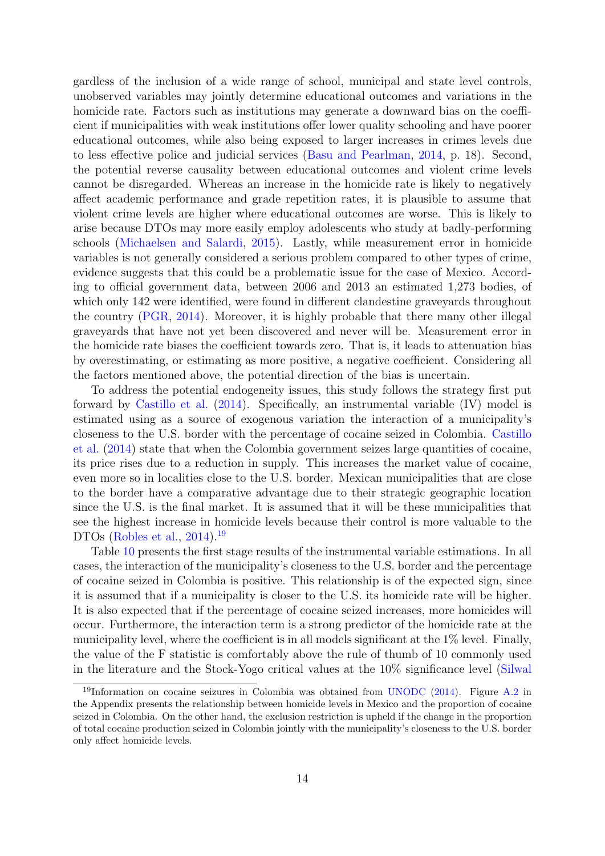gardless of the inclusion of a wide range of school, municipal and state level controls, unobserved variables may jointly determine educational outcomes and variations in the homicide rate. Factors such as institutions may generate a downward bias on the coefficient if municipalities with weak institutions offer lower quality schooling and have poorer educational outcomes, while also being exposed to larger increases in crimes levels due to less effective police and judicial services [\(Basu and Pearlman,](#page-16-5) [2014,](#page-16-5) p. 18). Second, the potential reverse causality between educational outcomes and violent crime levels cannot be disregarded. Whereas an increase in the homicide rate is likely to negatively affect academic performance and grade repetition rates, it is plausible to assume that violent crime levels are higher where educational outcomes are worse. This is likely to arise because DTOs may more easily employ adolescents who study at badly-performing schools [\(Michaelsen and Salardi,](#page-18-10) [2015\)](#page-18-10). Lastly, while measurement error in homicide variables is not generally considered a serious problem compared to other types of crime, evidence suggests that this could be a problematic issue for the case of Mexico. According to official government data, between 2006 and 2013 an estimated 1,273 bodies, of which only 142 were identified, were found in different clandestine graveyards throughout the country [\(PGR,](#page-19-9) [2014\)](#page-19-9). Moreover, it is highly probable that there many other illegal graveyards that have not yet been discovered and never will be. Measurement error in the homicide rate biases the coefficient towards zero. That is, it leads to attenuation bias by overestimating, or estimating as more positive, a negative coefficient. Considering all the factors mentioned above, the potential direction of the bias is uncertain.

To address the potential endogeneity issues, this study follows the strategy first put forward by [Castillo et al.](#page-17-3) [\(2014\)](#page-17-3). Specifically, an instrumental variable (IV) model is estimated using as a source of exogenous variation the interaction of a municipality's closeness to the U.S. border with the percentage of cocaine seized in Colombia. [Castillo](#page-17-3) [et al.](#page-17-3) [\(2014\)](#page-17-3) state that when the Colombia government seizes large quantities of cocaine, its price rises due to a reduction in supply. This increases the market value of cocaine, even more so in localities close to the U.S. border. Mexican municipalities that are close to the border have a comparative advantage due to their strategic geographic location since the U.S. is the final market. It is assumed that it will be these municipalities that see the highest increase in homicide levels because their control is more valuable to the DTOs [\(Robles et al.,](#page-19-5) [2014\)](#page-19-5).<sup>[19](#page-13-0)</sup>

Table [10](#page-27-0) presents the first stage results of the instrumental variable estimations. In all cases, the interaction of the municipality's closeness to the U.S. border and the percentage of cocaine seized in Colombia is positive. This relationship is of the expected sign, since it is assumed that if a municipality is closer to the U.S. its homicide rate will be higher. It is also expected that if the percentage of cocaine seized increases, more homicides will occur. Furthermore, the interaction term is a strong predictor of the homicide rate at the municipality level, where the coefficient is in all models significant at the 1% level. Finally, the value of the F statistic is comfortably above the rule of thumb of 10 commonly used in the literature and the Stock-Yogo critical values at the 10% significance level [\(Silwal](#page-19-10)

<span id="page-13-0"></span><sup>&</sup>lt;sup>19</sup>[Information on cocaine seizures in Colombia was obtained from](#page-19-10) [UNODC](#page-19-11) [\(2014\)](#page-19-11). Figure [A.2](#page-33-0) in [the Appendix presents the relationship between homicide levels in Mexico and the proportion of cocaine](#page-19-10) [seized in Colombia. On the other hand, the exclusion restriction is upheld if the change in the proportion](#page-19-10) [of total cocaine production seized in Colombia jointly with the municipality's closeness to the U.S. border](#page-19-10) [only affect homicide levels.](#page-19-10)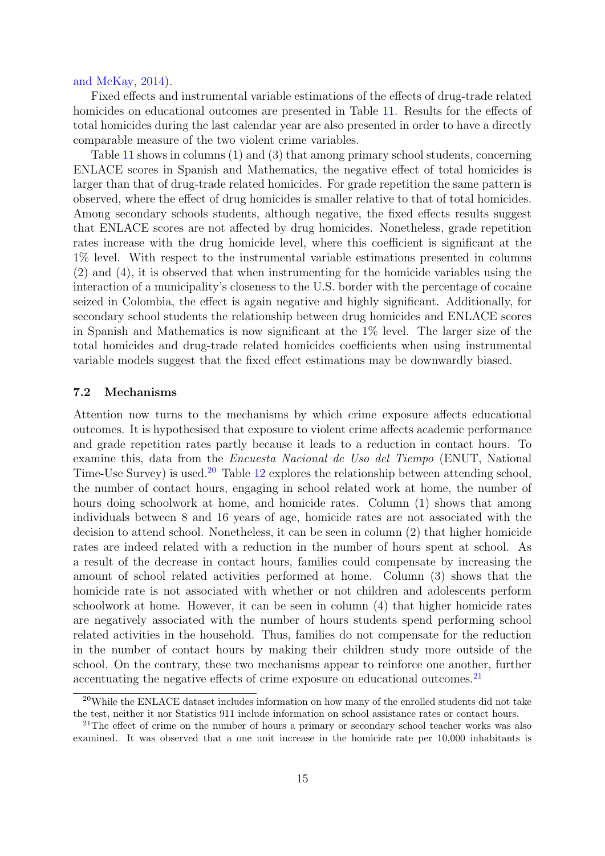#### [and McKay,](#page-19-10) [2014\)](#page-19-10).

Fixed effects and instrumental variable estimations of the effects of drug-trade related homicides on educational outcomes are presented in Table [11.](#page-28-0) Results for the effects of total homicides during the last calendar year are also presented in order to have a directly comparable measure of the two violent crime variables.

Table [11](#page-28-0) shows in columns (1) and (3) that among primary school students, concerning ENLACE scores in Spanish and Mathematics, the negative effect of total homicides is larger than that of drug-trade related homicides. For grade repetition the same pattern is observed, where the effect of drug homicides is smaller relative to that of total homicides. Among secondary schools students, although negative, the fixed effects results suggest that ENLACE scores are not affected by drug homicides. Nonetheless, grade repetition rates increase with the drug homicide level, where this coefficient is significant at the 1% level. With respect to the instrumental variable estimations presented in columns (2) and (4), it is observed that when instrumenting for the homicide variables using the interaction of a municipality's closeness to the U.S. border with the percentage of cocaine seized in Colombia, the effect is again negative and highly significant. Additionally, for secondary school students the relationship between drug homicides and ENLACE scores in Spanish and Mathematics is now significant at the 1% level. The larger size of the total homicides and drug-trade related homicides coefficients when using instrumental variable models suggest that the fixed effect estimations may be downwardly biased.

#### 7.2 Mechanisms

Attention now turns to the mechanisms by which crime exposure affects educational outcomes. It is hypothesised that exposure to violent crime affects academic performance and grade repetition rates partly because it leads to a reduction in contact hours. To examine this, data from the Encuesta Nacional de Uso del Tiempo (ENUT, National Time-Use Survey) is used.<sup>[20](#page-14-0)</sup> Table [12](#page-28-1) explores the relationship between attending school, the number of contact hours, engaging in school related work at home, the number of hours doing schoolwork at home, and homicide rates. Column (1) shows that among individuals between 8 and 16 years of age, homicide rates are not associated with the decision to attend school. Nonetheless, it can be seen in column (2) that higher homicide rates are indeed related with a reduction in the number of hours spent at school. As a result of the decrease in contact hours, families could compensate by increasing the amount of school related activities performed at home. Column (3) shows that the homicide rate is not associated with whether or not children and adolescents perform schoolwork at home. However, it can be seen in column (4) that higher homicide rates are negatively associated with the number of hours students spend performing school related activities in the household. Thus, families do not compensate for the reduction in the number of contact hours by making their children study more outside of the school. On the contrary, these two mechanisms appear to reinforce one another, further accentuating the negative effects of crime exposure on educational outcomes.<sup>[21](#page-14-1)</sup>

<span id="page-14-0"></span><sup>20</sup>While the ENLACE dataset includes information on how many of the enrolled students did not take the test, neither it nor Statistics 911 include information on school assistance rates or contact hours.

<span id="page-14-1"></span><sup>&</sup>lt;sup>21</sup>The effect of crime on the number of hours a primary or secondary school teacher works was also examined. It was observed that a one unit increase in the homicide rate per 10,000 inhabitants is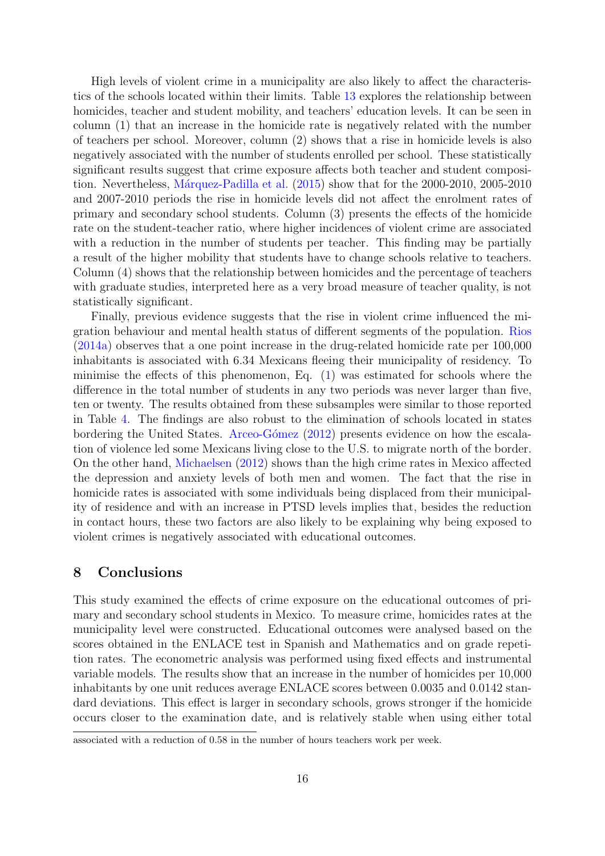High levels of violent crime in a municipality are also likely to affect the characteristics of the schools located within their limits. Table [13](#page-28-2) explores the relationship between homicides, teacher and student mobility, and teachers' education levels. It can be seen in column (1) that an increase in the homicide rate is negatively related with the number of teachers per school. Moreover, column (2) shows that a rise in homicide levels is also negatively associated with the number of students enrolled per school. These statistically significant results suggest that crime exposure affects both teacher and student composi-tion. Nevertheless, Márquez-Padilla et al. [\(2015\)](#page-18-11) show that for the 2000-2010, 2005-2010 and 2007-2010 periods the rise in homicide levels did not affect the enrolment rates of primary and secondary school students. Column (3) presents the effects of the homicide rate on the student-teacher ratio, where higher incidences of violent crime are associated with a reduction in the number of students per teacher. This finding may be partially a result of the higher mobility that students have to change schools relative to teachers. Column (4) shows that the relationship between homicides and the percentage of teachers with graduate studies, interpreted here as a very broad measure of teacher quality, is not statistically significant.

Finally, previous evidence suggests that the rise in violent crime influenced the migration behaviour and mental health status of different segments of the population. [Rios](#page-19-8) [\(2014a\)](#page-19-8) observes that a one point increase in the drug-related homicide rate per 100,000 inhabitants is associated with 6.34 Mexicans fleeing their municipality of residency. To minimise the effects of this phenomenon, Eq. [\(1\)](#page-9-2) was estimated for schools where the difference in the total number of students in any two periods was never larger than five, ten or twenty. The results obtained from these subsamples were similar to those reported in Table [4.](#page-22-0) The findings are also robust to the elimination of schools located in states bordering the United States. Arceo-Gómez [\(2012\)](#page-16-6) presents evidence on how the escalation of violence led some Mexicans living close to the U.S. to migrate north of the border. On the other hand, [Michaelsen](#page-18-15) [\(2012\)](#page-18-15) shows than the high crime rates in Mexico affected the depression and anxiety levels of both men and women. The fact that the rise in homicide rates is associated with some individuals being displaced from their municipality of residence and with an increase in PTSD levels implies that, besides the reduction in contact hours, these two factors are also likely to be explaining why being exposed to violent crimes is negatively associated with educational outcomes.

## <span id="page-15-0"></span>8 Conclusions

This study examined the effects of crime exposure on the educational outcomes of primary and secondary school students in Mexico. To measure crime, homicides rates at the municipality level were constructed. Educational outcomes were analysed based on the scores obtained in the ENLACE test in Spanish and Mathematics and on grade repetition rates. The econometric analysis was performed using fixed effects and instrumental variable models. The results show that an increase in the number of homicides per 10,000 inhabitants by one unit reduces average ENLACE scores between 0.0035 and 0.0142 standard deviations. This effect is larger in secondary schools, grows stronger if the homicide occurs closer to the examination date, and is relatively stable when using either total

associated with a reduction of 0.58 in the number of hours teachers work per week.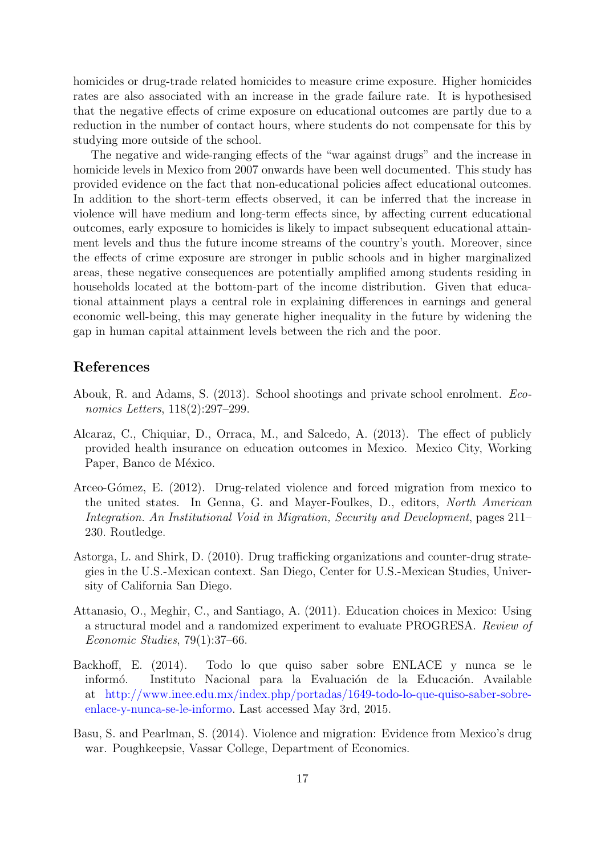homicides or drug-trade related homicides to measure crime exposure. Higher homicides rates are also associated with an increase in the grade failure rate. It is hypothesised that the negative effects of crime exposure on educational outcomes are partly due to a reduction in the number of contact hours, where students do not compensate for this by studying more outside of the school.

The negative and wide-ranging effects of the "war against drugs" and the increase in homicide levels in Mexico from 2007 onwards have been well documented. This study has provided evidence on the fact that non-educational policies affect educational outcomes. In addition to the short-term effects observed, it can be inferred that the increase in violence will have medium and long-term effects since, by affecting current educational outcomes, early exposure to homicides is likely to impact subsequent educational attainment levels and thus the future income streams of the country's youth. Moreover, since the effects of crime exposure are stronger in public schools and in higher marginalized areas, these negative consequences are potentially amplified among students residing in households located at the bottom-part of the income distribution. Given that educational attainment plays a central role in explaining differences in earnings and general economic well-being, this may generate higher inequality in the future by widening the gap in human capital attainment levels between the rich and the poor.

## References

- <span id="page-16-0"></span>Abouk, R. and Adams, S. (2013). School shootings and private school enrolment. Economics Letters, 118(2):297–299.
- <span id="page-16-3"></span>Alcaraz, C., Chiquiar, D., Orraca, M., and Salcedo, A. (2013). The effect of publicly provided health insurance on education outcomes in Mexico. Mexico City, Working Paper, Banco de México.
- <span id="page-16-6"></span>Arceo-Gómez, E. (2012). Drug-related violence and forced migration from mexico to the united states. In Genna, G. and Mayer-Foulkes, D., editors, North American Integration. An Institutional Void in Migration, Security and Development, pages 211– 230. Routledge.
- <span id="page-16-1"></span>Astorga, L. and Shirk, D. (2010). Drug trafficking organizations and counter-drug strategies in the U.S.-Mexican context. San Diego, Center for U.S.-Mexican Studies, University of California San Diego.
- <span id="page-16-4"></span>Attanasio, O., Meghir, C., and Santiago, A. (2011). Education choices in Mexico: Using a structural model and a randomized experiment to evaluate PROGRESA. Review of Economic Studies, 79(1):37–66.
- <span id="page-16-2"></span>Backhoff, E. (2014). Todo lo que quiso saber sobre ENLACE y nunca se le informó. Instituto Nacional para la Evaluación de la Educación. Available at http://www.inee.edu.mx/index.php/portadas/1649-todo-lo-que-quiso-saber-sobreenlace-y-nunca-se-le-informo. Last accessed May 3rd, 2015.
- <span id="page-16-5"></span>Basu, S. and Pearlman, S. (2014). Violence and migration: Evidence from Mexico's drug war. Poughkeepsie, Vassar College, Department of Economics.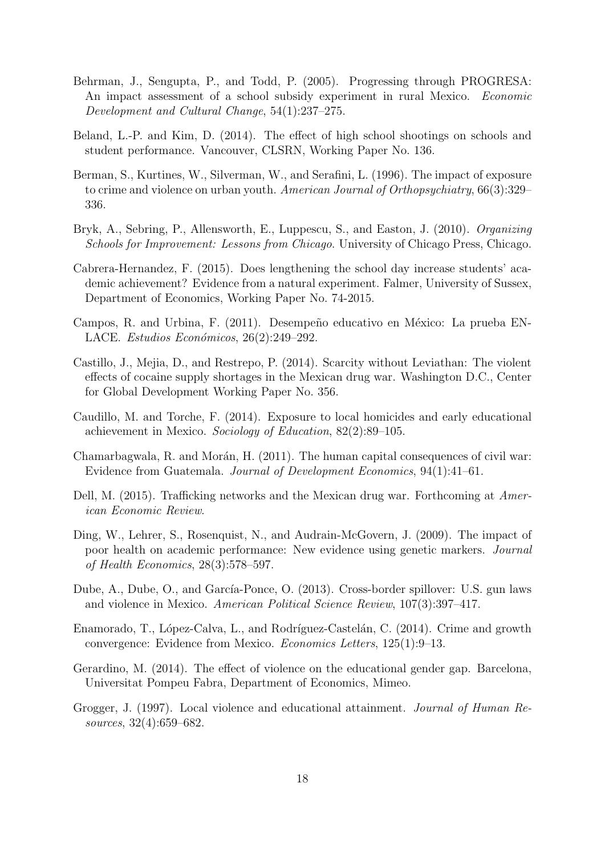- <span id="page-17-14"></span>Behrman, J., Sengupta, P., and Todd, P. (2005). Progressing through PROGRESA: An impact assessment of a school subsidy experiment in rural Mexico. Economic Development and Cultural Change, 54(1):237–275.
- <span id="page-17-5"></span>Beland, L.-P. and Kim, D. (2014). The effect of high school shootings on schools and student performance. Vancouver, CLSRN, Working Paper No. 136.
- <span id="page-17-0"></span>Berman, S., Kurtines, W., Silverman, W., and Serafini, L. (1996). The impact of exposure to crime and violence on urban youth. American Journal of Orthopsychiatry, 66(3):329– 336.
- <span id="page-17-2"></span>Bryk, A., Sebring, P., Allensworth, E., Luppescu, S., and Easton, J. (2010). Organizing Schools for Improvement: Lessons from Chicago. University of Chicago Press, Chicago.
- <span id="page-17-13"></span>Cabrera-Hernandez, F. (2015). Does lengthening the school day increase students' academic achievement? Evidence from a natural experiment. Falmer, University of Sussex, Department of Economics, Working Paper No. 74-2015.
- <span id="page-17-12"></span>Campos, R. and Urbina, F. (2011). Desempeño educativo en México: La prueba EN-LACE. Estudios Económicos,  $26(2):249-292$ .
- <span id="page-17-3"></span>Castillo, J., Mejia, D., and Restrepo, P. (2014). Scarcity without Leviathan: The violent effects of cocaine supply shortages in the Mexican drug war. Washington D.C., Center for Global Development Working Paper No. 356.
- <span id="page-17-8"></span>Caudillo, M. and Torche, F. (2014). Exposure to local homicides and early educational achievement in Mexico. Sociology of Education, 82(2):89–105.
- <span id="page-17-6"></span>Chamarbagwala, R. and Morán, H.  $(2011)$ . The human capital consequences of civil war: Evidence from Guatemala. Journal of Development Economics, 94(1):41–61.
- <span id="page-17-9"></span>Dell, M. (2015). Trafficking networks and the Mexican drug war. Forthcoming at American Economic Review.
- <span id="page-17-1"></span>Ding, W., Lehrer, S., Rosenquist, N., and Audrain-McGovern, J. (2009). The impact of poor health on academic performance: New evidence using genetic markers. Journal of Health Economics, 28(3):578–597.
- <span id="page-17-11"></span>Dube, A., Dube, O., and García-Ponce, O. (2013). Cross-border spillover: U.S. gun laws and violence in Mexico. American Political Science Review, 107(3):397–417.
- <span id="page-17-10"></span>Enamorado, T., López-Calva, L., and Rodríguez-Castelán, C. (2014). Crime and growth convergence: Evidence from Mexico. Economics Letters, 125(1):9–13.
- <span id="page-17-7"></span>Gerardino, M. (2014). The effect of violence on the educational gender gap. Barcelona, Universitat Pompeu Fabra, Department of Economics, Mimeo.
- <span id="page-17-4"></span>Grogger, J. (1997). Local violence and educational attainment. Journal of Human Resources, 32(4):659–682.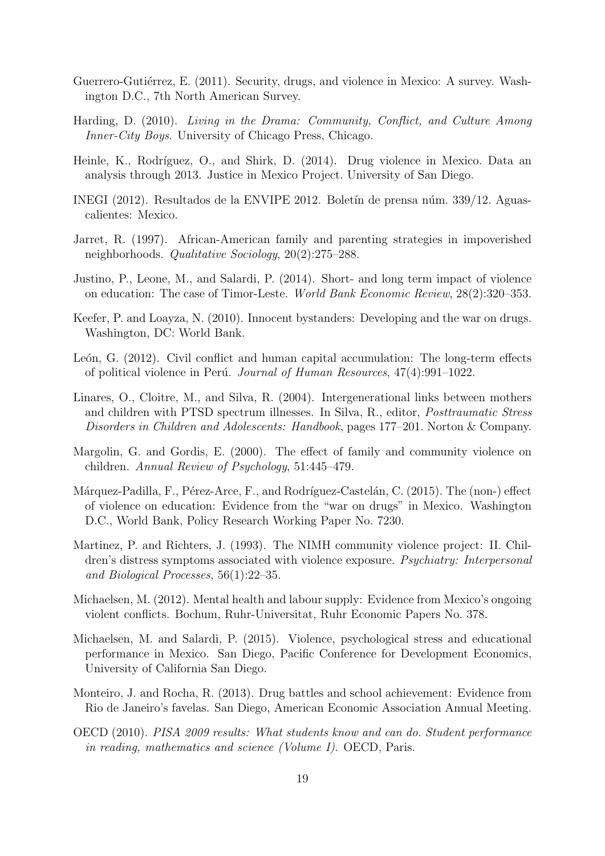- <span id="page-18-12"></span>Guerrero-Gutiérrez, E. (2011). Security, drugs, and violence in Mexico: A survey. Washington D.C., 7th North American Survey.
- <span id="page-18-3"></span>Harding, D. (2010). Living in the Drama: Community, Conflict, and Culture Among Inner-City Boys. University of Chicago Press, Chicago.
- <span id="page-18-14"></span>Heinle, K., Rodríguez, O., and Shirk, D. (2014). Drug violence in Mexico. Data an analysis through 2013. Justice in Mexico Project. University of San Diego.
- <span id="page-18-0"></span>INEGI (2012). Resultados de la ENVIPE 2012. Boletín de prensa núm. 339/12. Aguascalientes: Mexico.
- <span id="page-18-4"></span>Jarret, R. (1997). African-American family and parenting strategies in impoverished neighborhoods. Qualitative Sociology, 20(2):275–288.
- <span id="page-18-8"></span>Justino, P., Leone, M., and Salardi, P. (2014). Short- and long term impact of violence on education: The case of Timor-Leste. World Bank Economic Review, 28(2):320–353.
- <span id="page-18-13"></span>Keefer, P. and Loayza, N. (2010). Innocent bystanders: Developing and the war on drugs. Washington, DC: World Bank.
- <span id="page-18-9"></span>León, G.  $(2012)$ . Civil conflict and human capital accumulation: The long-term effects of political violence in Perú. Journal of Human Resources,  $47(4):991-1022$ .
- <span id="page-18-5"></span>Linares, O., Cloitre, M., and Silva, R. (2004). Intergenerational links between mothers and children with PTSD spectrum illnesses. In Silva, R., editor, Posttraumatic Stress Disorders in Children and Adolescents: Handbook, pages 177–201. Norton & Company.
- <span id="page-18-2"></span>Margolin, G. and Gordis, E. (2000). The effect of family and community violence on children. Annual Review of Psychology, 51:445–479.
- <span id="page-18-11"></span>Márquez-Padilla, F., Pérez-Arce, F., and Rodríguez-Castelán, C. (2015). The (non-) effect of violence on education: Evidence from the "war on drugs" in Mexico. Washington D.C., World Bank, Policy Research Working Paper No. 7230.
- <span id="page-18-1"></span>Martinez, P. and Richters, J. (1993). The NIMH community violence project: II. Children's distress symptoms associated with violence exposure. Psychiatry: Interpersonal and Biological Processes, 56(1):22–35.
- <span id="page-18-15"></span>Michaelsen, M. (2012). Mental health and labour supply: Evidence from Mexico's ongoing violent conflicts. Bochum, Ruhr-Universitat, Ruhr Economic Papers No. 378.
- <span id="page-18-10"></span>Michaelsen, M. and Salardi, P. (2015). Violence, psychological stress and educational performance in Mexico. San Diego, Pacific Conference for Development Economics, University of California San Diego.
- <span id="page-18-7"></span>Monteiro, J. and Rocha, R. (2013). Drug battles and school achievement: Evidence from Rio de Janeiro's favelas. San Diego, American Economic Association Annual Meeting.
- <span id="page-18-6"></span>OECD (2010). PISA 2009 results: What students know and can do. Student performance in reading, mathematics and science (Volume I). OECD, Paris.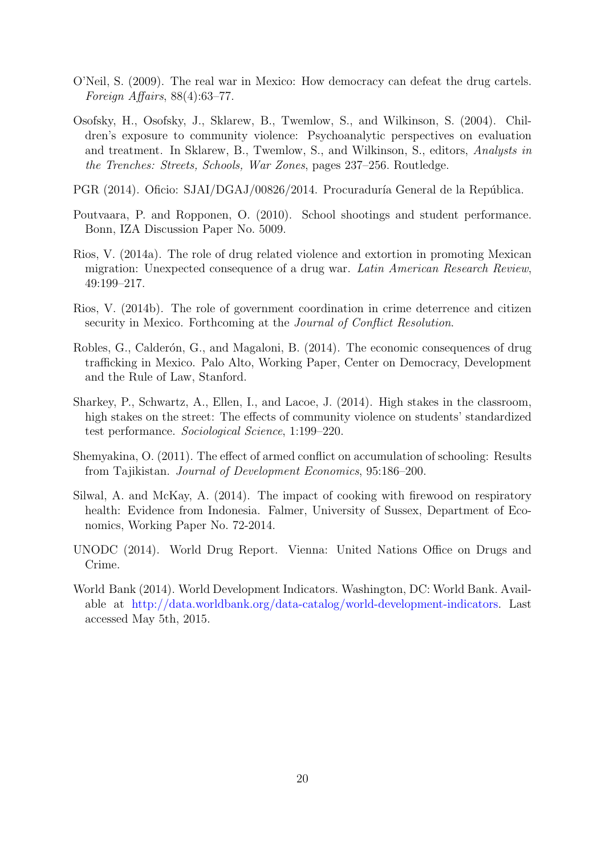- <span id="page-19-6"></span>O'Neil, S. (2009). The real war in Mexico: How democracy can defeat the drug cartels. Foreign Affairs,  $88(4):63-77$ .
- <span id="page-19-0"></span>Osofsky, H., Osofsky, J., Sklarew, B., Twemlow, S., and Wilkinson, S. (2004). Children's exposure to community violence: Psychoanalytic perspectives on evaluation and treatment. In Sklarew, B., Twemlow, S., and Wilkinson, S., editors, Analysts in the Trenches: Streets, Schools, War Zones, pages 237–256. Routledge.
- <span id="page-19-9"></span>PGR (2014). Oficio: SJAI/DGAJ/00826/2014. Procuraduría General de la República.
- <span id="page-19-3"></span>Poutvaara, P. and Ropponen, O. (2010). School shootings and student performance. Bonn, IZA Discussion Paper No. 5009.
- <span id="page-19-8"></span>Rios, V. (2014a). The role of drug related violence and extortion in promoting Mexican migration: Unexpected consequence of a drug war. Latin American Research Review, 49:199–217.
- <span id="page-19-7"></span>Rios, V. (2014b). The role of government coordination in crime deterrence and citizen security in Mexico. Forthcoming at the Journal of Conflict Resolution.
- <span id="page-19-5"></span>Robles, G., Calderón, G., and Magaloni, B. (2014). The economic consequences of drug trafficking in Mexico. Palo Alto, Working Paper, Center on Democracy, Development and the Rule of Law, Stanford.
- <span id="page-19-2"></span>Sharkey, P., Schwartz, A., Ellen, I., and Lacoe, J. (2014). High stakes in the classroom, high stakes on the street: The effects of community violence on students' standardized test performance. Sociological Science, 1:199–220.
- <span id="page-19-4"></span>Shemyakina, O. (2011). The effect of armed conflict on accumulation of schooling: Results from Tajikistan. Journal of Development Economics, 95:186–200.
- <span id="page-19-10"></span>Silwal, A. and McKay, A. (2014). The impact of cooking with firewood on respiratory health: Evidence from Indonesia. Falmer, University of Sussex, Department of Economics, Working Paper No. 72-2014.
- <span id="page-19-11"></span>UNODC (2014). World Drug Report. Vienna: United Nations Office on Drugs and Crime.
- <span id="page-19-1"></span>World-Bank (2014). World Development Indicators. Washington, DC: World Bank. Available at http://data.worldbank.org/data-catalog/world-development-indicators. Last accessed May 5th, 2015.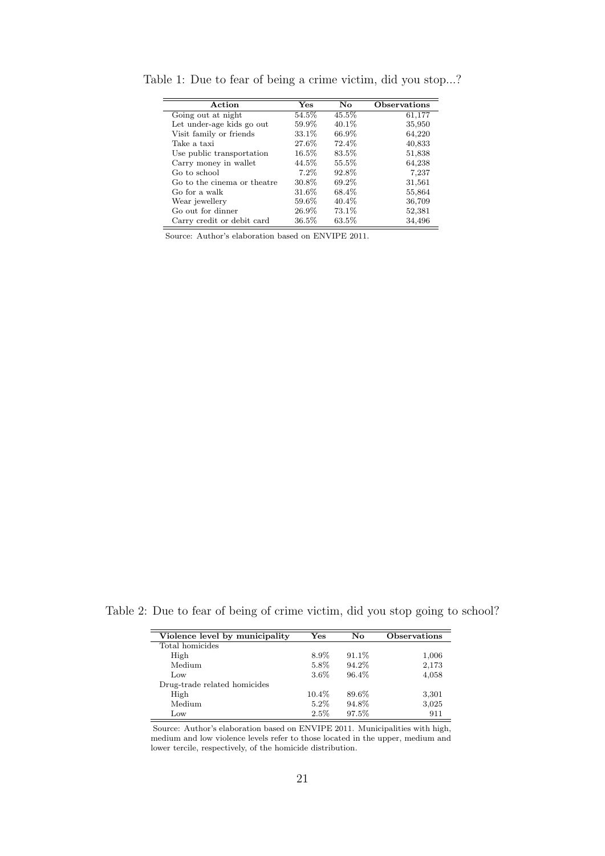| Action                      | <b>Yes</b> | No       | <b>Observations</b> |
|-----------------------------|------------|----------|---------------------|
| Going out at night          | 54.5%      | 45.5%    | 61,177              |
| Let under-age kids go out   | 59.9%      | 40.1\%   | 35,950              |
| Visit family or friends     | 33.1%      | 66.9%    | 64,220              |
| Take a taxi                 | 27.6%      | 72.4%    | 40,833              |
| Use public transportation   | 16.5%      | 83.5%    | 51,838              |
| Carry money in wallet       | 44.5%      | 55.5%    | 64,238              |
| Go to school                | 7.2%       | 92.8%    | 7,237               |
| Go to the cinema or theatre | 30.8%      | 69.2%    | 31,561              |
| Go for a walk               | 31.6%      | 68.4%    | 55,864              |
| Wear jewellery              | 59.6%      | $40.4\%$ | 36,709              |
| Go out for dinner           | 26.9%      | 73.1%    | 52,381              |
| Carry credit or debit card  | $36.5\%$   | 63.5%    | 34,496              |

<span id="page-20-0"></span>Table 1: Due to fear of being a crime victim, did you stop...?

Source: Author's elaboration based on ENVIPE 2011.

<span id="page-20-1"></span>Table 2: Due to fear of being of crime victim, did you stop going to school?

| Violence level by municipality | $\rm Yes$ | No     | Observations |
|--------------------------------|-----------|--------|--------------|
| Total homicides                |           |        |              |
| High                           | 8.9%      | 91.1\% | 1,006        |
| Medium                         | 5.8%      | 94.2%  | 2,173        |
| Low                            | $3.6\%$   | 96.4%  | 4,058        |
| Drug-trade related homicides   |           |        |              |
| High                           | 10.4%     | 89.6%  | 3,301        |
| Medium                         | $5.2\%$   | 94.8%  | 3,025        |
| Low                            | 2.5%      | 97.5%  | 911          |

Source: Author's elaboration based on ENVIPE 2011. Municipalities with high, medium and low violence levels refer to those located in the upper, medium and lower tercile, respectively, of the homicide distribution.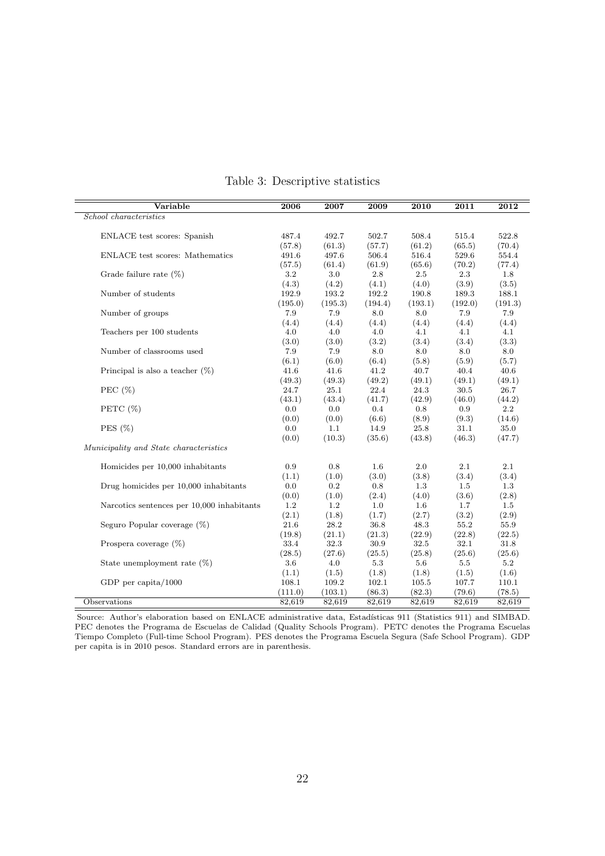<span id="page-21-0"></span>

| Variable                                   | 2006           | 2007           | 2009           | 2010          | 2011          | 2012          |
|--------------------------------------------|----------------|----------------|----------------|---------------|---------------|---------------|
| School characteristics                     |                |                |                |               |               |               |
|                                            |                |                |                |               |               |               |
| ENLACE test scores: Spanish                | 487.4          | 492.7          | 502.7          | 508.4         | 515.4         | 522.8         |
|                                            | (57.8)         | (61.3)         | (57.7)         | (61.2)        | (65.5)        | (70.4)        |
| <b>ENLACE</b> test scores: Mathematics     | 491.6          | 497.6          | 506.4          | 516.4         | 529.6         | 554.4         |
|                                            | (57.5)         | (61.4)         | (61.9)         | (65.6)        | (70.2)        | (77.4)        |
| Grade failure rate $(\%)$                  | 3.2            | 3.0            | $2.8\,$        | $2.5\,$       | 2.3           | 1.8           |
|                                            | (4.3)          | (4.2)          | (4.1)          | (4.0)         | (3.9)         | (3.5)         |
| Number of students                         | 192.9          | 193.2          | 192.2          | 190.8         | 189.3         | 188.1         |
|                                            | (195.0)        | (195.3)        | (194.4)        | (193.1)       | (192.0)       | (191.3)       |
| Number of groups                           | 7.9            | 7.9            | 8.0            | 8.0           | 7.9           | 7.9           |
|                                            | (4.4)          | (4.4)          | (4.4)          | (4.4)         | (4.4)         | (4.4)         |
| Teachers per 100 students                  | 4.0            | 4.0            | 4.0            | 4.1           | 4.1           | 4.1           |
|                                            | (3.0)          | (3.0)          | (3.2)          | (3.4)         | (3.4)         | (3.3)         |
| Number of classrooms used                  | 7.9            | 7.9            | 8.0            | 8.0           | 8.0           | 8.0           |
|                                            | (6.1)          | (6.0)          | (6.4)          | (5.8)         | (5.9)         | (5.7)         |
| Principal is also a teacher $(\%)$         | 41.6           | 41.6           | 41.2           | 40.7          | 40.4          | 40.6          |
|                                            | (49.3)         | (49.3)         | (49.2)         | (49.1)        | (49.1)        | (49.1)        |
| PEC $(\%)$                                 | 24.7           | 25.1           | 22.4           | 24.3          | 30.5          | 26.7          |
|                                            | (43.1)         | (43.4)         | (41.7)         | (42.9)        | (46.0)        | (44.2)        |
| PETC $(\%)$                                | 0.0            | 0.0            | $0.4\,$        | 0.8           | 0.9           | 2.2           |
|                                            | (0.0)          | (0.0)          | (6.6)          | (8.9)         | (9.3)         | (14.6)        |
| PES $(\%)$                                 | 0.0            | 1.1            | 14.9           | 25.8          | 31.1          | 35.0          |
|                                            | (0.0)          | (10.3)         | (35.6)         | (43.8)        | (46.3)        | (47.7)        |
| Municipality and State characteristics     |                |                |                |               |               |               |
| Homicides per 10,000 inhabitants           | 0.9            | 0.8            | $1.6\,$        | 2.0           | 2.1           | 2.1           |
|                                            | (1.1)          | (1.0)          | (3.0)          | (3.8)         | (3.4)         | (3.4)         |
| Drug homicides per 10,000 inhabitants      | 0.0            | 0.2            | 0.8            | 1.3           | 1.5           | 1.3           |
|                                            | (0.0)          | (1.0)          | (2.4)          | (4.0)         | (3.6)         | (2.8)         |
| Narcotics sentences per 10,000 inhabitants | 1.2            | $1.2\,$        | 1.0            | 1.6           | 1.7           | 1.5           |
|                                            | (2.1)          | (1.8)          | (1.7)          | (2.7)         | (3.2)         | (2.9)         |
| Seguro Popular coverage (%)                | 21.6           | 28.2           | 36.8           | 48.3          | 55.2          | 55.9          |
|                                            | (19.8)         | (21.1)         | (21.3)         | (22.9)        | (22.8)        | (22.5)        |
| Prospera coverage $(\%)$                   | 33.4           | 32.3           | 30.9           | 32.5          | 32.1          | 31.8          |
|                                            |                |                |                |               |               |               |
| State unemployment rate $(\%)$             | (28.5)<br>3.6  | (27.6)<br>4.0  | (25.5)<br>5.3  | (25.8)<br>5.6 | (25.6)<br>5.5 | (25.6)<br>5.2 |
|                                            |                |                |                | (1.8)         | (1.5)         |               |
|                                            | (1.1)<br>108.1 | (1.5)<br>109.2 | (1.8)<br>102.1 | 105.5         | 107.7         | (1.6)         |
| GDP per capita/ $1000$                     |                |                |                |               |               | 110.1         |
|                                            | (111.0)        | (103.1)        | (86.3)         | (82.3)        | (79.6)        | (78.5)        |
| Observations                               | 82,619         | 82,619         | 82,619         | 82,619        | 82,619        | 82,619        |

## Table 3: Descriptive statistics

Source: Author's elaboration based on ENLACE administrative data, Estadísticas 911 (Statistics 911) and SIMBAD. PEC denotes the Programa de Escuelas de Calidad (Quality Schools Program). PETC denotes the Programa Escuelas Tiempo Completo (Full-time School Program). PES denotes the Programa Escuela Segura (Safe School Program). GDP per capita is in 2010 pesos. Standard errors are in parenthesis.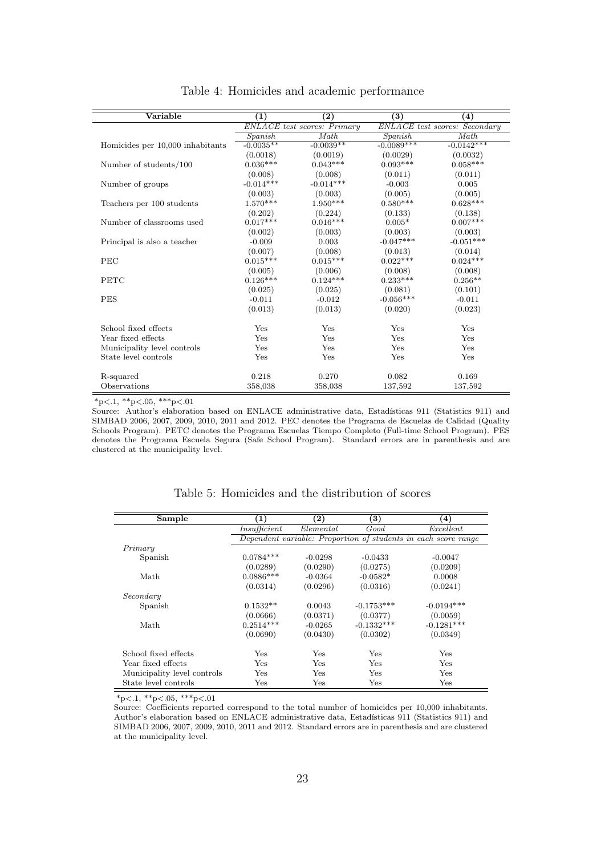<span id="page-22-0"></span>

| Variable                         | (1)         | $\bf(2)$                           | $\bf (3)$    | (4)                                  |
|----------------------------------|-------------|------------------------------------|--------------|--------------------------------------|
|                                  |             | <b>ENLACE</b> test scores: Primary |              | <b>ENLACE</b> test scores: Secondary |
|                                  | Spanish     | Math                               | Spanish      | Math                                 |
| Homicides per 10,000 inhabitants | $-0.0035**$ | $-0.0039**$                        | $-0.0089***$ | $-0.0142***$                         |
|                                  | (0.0018)    | (0.0019)                           | (0.0029)     | (0.0032)                             |
| Number of students/100           | $0.036***$  | $0.043***$                         | $0.093***$   | $0.058***$                           |
|                                  | (0.008)     | (0.008)                            | (0.011)      | (0.011)                              |
| Number of groups                 | $-0.014***$ | $-0.014***$                        | $-0.003$     | 0.005                                |
|                                  | (0.003)     | (0.003)                            | (0.005)      | (0.005)                              |
| Teachers per 100 students        | $1.570***$  | $1.950***$                         | $0.580***$   | $0.628***$                           |
|                                  | (0.202)     | (0.224)                            | (0.133)      | (0.138)                              |
| Number of classrooms used        | $0.017***$  | $0.016***$                         | $0.005*$     | $0.007***$                           |
|                                  | (0.002)     | (0.003)                            | (0.003)      | (0.003)                              |
| Principal is also a teacher      | $-0.009$    | 0.003                              | $-0.047***$  | $-0.051***$                          |
|                                  | (0.007)     | (0.008)                            | (0.013)      | (0.014)                              |
| PEC                              | $0.015***$  | $0.015***$                         | $0.022***$   | $0.024***$                           |
|                                  | (0.005)     | (0.006)                            | (0.008)      | (0.008)                              |
| <b>PETC</b>                      | $0.126***$  | $0.124***$                         | $0.233***$   | $0.256**$                            |
|                                  | (0.025)     | (0.025)                            | (0.081)      | (0.101)                              |
| <b>PES</b>                       | $-0.011$    | $-0.012$                           | $-0.056***$  | $-0.011$                             |
|                                  | (0.013)     | (0.013)                            | (0.020)      | (0.023)                              |
| School fixed effects             | Yes         | Yes                                | Yes          | Yes                                  |
| Year fixed effects               | Yes         | Yes                                | Yes          | Yes                                  |
| Municipality level controls      | Yes         | Yes                                | Yes          | Yes                                  |
| State level controls             | Yes         | Yes                                | Yes          | Yes                                  |
| R-squared                        | 0.218       | 0.270                              | 0.082        | 0.169                                |
| Observations                     | 358,038     | 358,038                            | 137,592      | 137,592                              |

Table 4: Homicides and academic performance

Source: Author's elaboration based on ENLACE administrative data, Estadísticas 911 (Statistics 911) and SIMBAD 2006, 2007, 2009, 2010, 2011 and 2012. PEC denotes the Programa de Escuelas de Calidad (Quality Schools Program). PETC denotes the Programa Escuelas Tiempo Completo (Full-time School Program). PES denotes the Programa Escuela Segura (Safe School Program). Standard errors are in parenthesis and are clustered at the municipality level.

<span id="page-22-1"></span>

| Sample                      | (1)                                                            | (2)          | $\bf (3)$    | $\left( 4\right)$ |  |  |  |
|-----------------------------|----------------------------------------------------------------|--------------|--------------|-------------------|--|--|--|
|                             | Insufficient                                                   | Elemental    | Good         | Excellent         |  |  |  |
|                             | Dependent variable: Proportion of students in each score range |              |              |                   |  |  |  |
| Primary                     |                                                                |              |              |                   |  |  |  |
| Spanish                     | $0.0784***$                                                    | $-0.0298$    | $-0.0433$    | $-0.0047$         |  |  |  |
|                             | (0.0289)                                                       | (0.0290)     | (0.0275)     | (0.0209)          |  |  |  |
| Math                        | $0.0886***$                                                    | $-0.0364$    | $-0.0582*$   | 0.0008            |  |  |  |
|                             | (0.0314)                                                       | (0.0296)     | (0.0316)     | (0.0241)          |  |  |  |
| Secondary                   |                                                                |              |              |                   |  |  |  |
| Spanish                     | $0.1532**$                                                     | 0.0043       | $-0.1753***$ | $-0.0194***$      |  |  |  |
|                             | (0.0666)                                                       | (0.0371)     | (0.0377)     | (0.0059)          |  |  |  |
| Math                        | $0.2514***$                                                    | $-0.0265$    | $-0.1332***$ | $-0.1281***$      |  |  |  |
|                             | (0.0690)                                                       | (0.0430)     | (0.0302)     | (0.0349)          |  |  |  |
| School fixed effects        | Yes                                                            | Yes          | Yes          | <b>Yes</b>        |  |  |  |
| Year fixed effects          | Yes                                                            | Yes          | Yes          | <b>Yes</b>        |  |  |  |
| Municipality level controls | Yes                                                            | <b>Yes</b>   | Yes          | Yes               |  |  |  |
| State level controls        | Yes                                                            | $_{\rm Yes}$ | Yes          | Yes               |  |  |  |

Table 5: Homicides and the distribution of scores

 $*_{p<.1,**_{p<.05,***_{p<.01}}$ 

Source: Coefficients reported correspond to the total number of homicides per 10,000 inhabitants. Author's elaboration based on ENLACE administrative data, Estadísticas 911 (Statistics 911) and SIMBAD 2006, 2007, 2009, 2010, 2011 and 2012. Standard errors are in parenthesis and are clustered at the municipality level.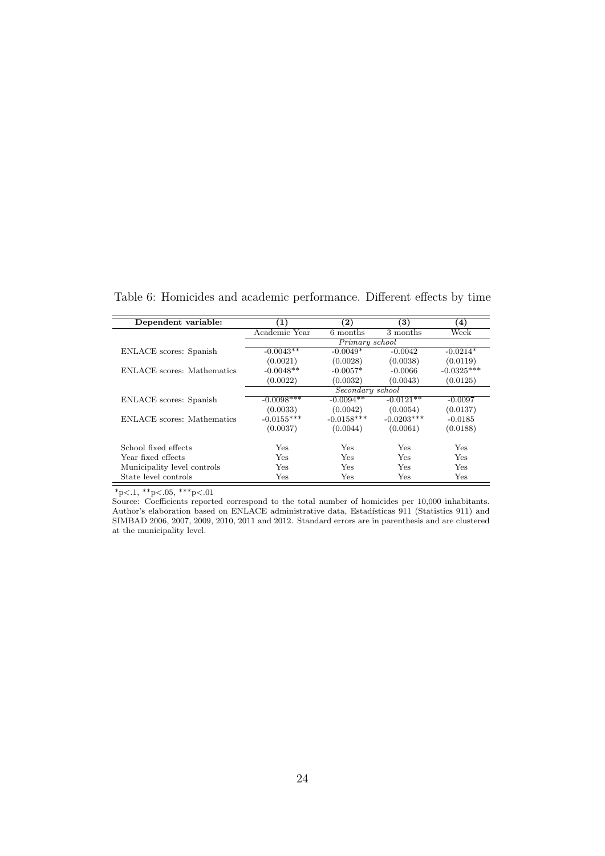<span id="page-23-0"></span>

| Dependent variable:         | $\bf ^{(1)}$   | $\bf(2)$         | $\left( 3\right)$ | (4)          |  |  |
|-----------------------------|----------------|------------------|-------------------|--------------|--|--|
|                             | Academic Year  | 6 months         | 3 months          | Week         |  |  |
|                             | Primary school |                  |                   |              |  |  |
| ENLACE scores: Spanish      | $-0.0043**$    | $-0.0049*$       | $-0.0042$         | $-0.0214*$   |  |  |
|                             | (0.0021)       | (0.0028)         | (0.0038)          | (0.0119)     |  |  |
| ENLACE scores: Mathematics  | $-0.0048**$    | $-0.0057*$       | $-0.0066$         | $-0.0325***$ |  |  |
|                             | (0.0022)       | (0.0032)         | (0.0043)          | (0.0125)     |  |  |
|                             |                | Secondary school |                   |              |  |  |
| ENLACE scores: Spanish      | $-0.0098***$   | $-0.0094**$      | $-0.0121**$       | $-0.0097$    |  |  |
|                             | (0.0033)       | (0.0042)         | (0.0054)          | (0.0137)     |  |  |
| ENLACE scores: Mathematics  | $-0.0155***$   | $-0.0158***$     | $-0.0203***$      | $-0.0185$    |  |  |
|                             | (0.0037)       | (0.0044)         | (0.0061)          | (0.0188)     |  |  |
| School fixed effects        | Yes            | Yes              | Yes               | Yes          |  |  |
| Year fixed effects          | Yes            | Yes              | Yes               | Yes          |  |  |
| Municipality level controls | Yes            | Yes              | Yes               | Yes          |  |  |
| State level controls        | Yes            | Yes              | Yes               | Yes          |  |  |

Table 6: Homicides and academic performance. Different effects by time

Source: Coefficients reported correspond to the total number of homicides per 10,000 inhabitants. Author's elaboration based on ENLACE administrative data, Estadísticas 911 (Statistics 911) and SIMBAD 2006, 2007, 2009, 2010, 2011 and 2012. Standard errors are in parenthesis and are clustered at the municipality level.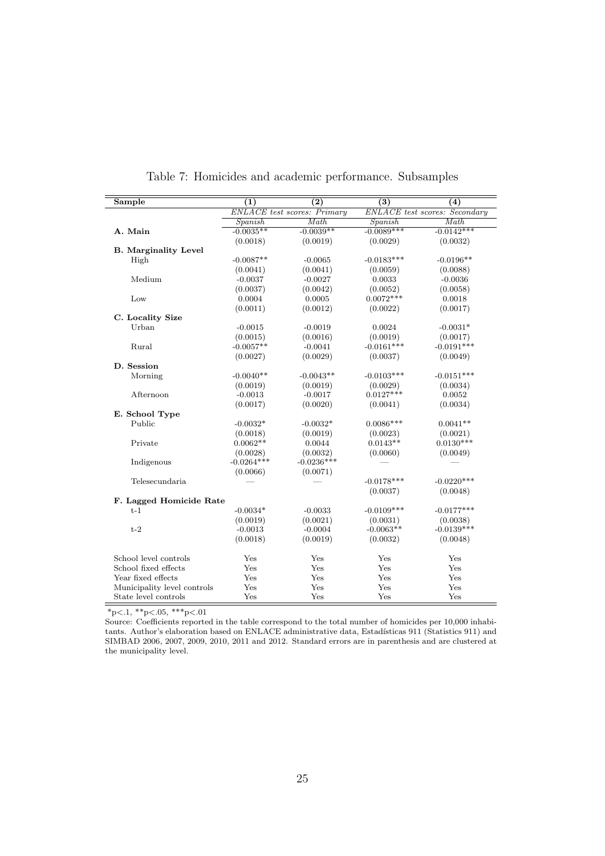<span id="page-24-0"></span>

| Sample                      | (1)          | $\overline{(2)}$                   | $\overline{(3)}$ | $\overline{(4)}$                     |
|-----------------------------|--------------|------------------------------------|------------------|--------------------------------------|
|                             |              | <b>ENLACE</b> test scores: Primary |                  | <b>ENLACE</b> test scores: Secondary |
|                             | Spanish      | Math                               | Spanish          | Math                                 |
| A. Main                     | $-0.0035**$  | $-0.0039**$                        | $-0.0089***$     | $-0.0142***$                         |
|                             | (0.0018)     | (0.0019)                           | (0.0029)         | (0.0032)                             |
| <b>B.</b> Marginality Level |              |                                    |                  |                                      |
| High                        | $-0.0087**$  | $-0.0065$                          | $-0.0183***$     | $-0.0196**$                          |
|                             | (0.0041)     | (0.0041)                           | (0.0059)         | (0.0088)                             |
| Medium                      | $-0.0037$    | $-0.0027$                          | 0.0033           | $-0.0036$                            |
|                             | (0.0037)     | (0.0042)                           | (0.0052)         | (0.0058)                             |
| Low                         | 0.0004       | 0.0005                             | $0.0072***$      | 0.0018                               |
|                             | (0.0011)     | (0.0012)                           | (0.0022)         | (0.0017)                             |
| C. Locality Size            |              |                                    |                  |                                      |
| Urban                       | $-0.0015$    | $-0.0019$                          | 0.0024           | $-0.0031*$                           |
|                             | (0.0015)     | (0.0016)                           | (0.0019)         | (0.0017)                             |
| Rural                       | $-0.0057**$  | $-0.0041$                          | $-0.0161***$     | $-0.0191***$                         |
|                             | (0.0027)     | (0.0029)                           | (0.0037)         | (0.0049)                             |
| D. Session                  |              |                                    |                  |                                      |
| Morning                     | $-0.0040**$  | $-0.0043**$                        | $-0.0103***$     | $-0.0151***$                         |
|                             | (0.0019)     | (0.0019)                           | (0.0029)         | (0.0034)                             |
| Afternoon                   | $-0.0013$    | $-0.0017$                          | $0.0127***$      | 0.0052                               |
|                             | (0.0017)     | (0.0020)                           | (0.0041)         | (0.0034)                             |
| E. School Type              |              |                                    |                  |                                      |
| Public                      | $-0.0032*$   | $-0.0032*$                         | $0.0086***$      | $0.0041**$                           |
|                             | (0.0018)     | (0.0019)                           | (0.0023)         | (0.0021)                             |
| Private                     | $0.0062**$   | 0.0044                             | $0.0143**$       | $0.0130***$                          |
|                             | (0.0028)     | (0.0032)                           | (0.0060)         | (0.0049)                             |
| Indigenous                  | $-0.0264***$ | $-0.0236***$                       |                  |                                      |
|                             | (0.0066)     | (0.0071)                           |                  |                                      |
| Telesecundaria              |              |                                    | $-0.0178***$     | $-0.0220***$                         |
|                             |              |                                    | (0.0037)         | (0.0048)                             |
| F. Lagged Homicide Rate     |              |                                    |                  |                                      |
| $t-1$                       | $-0.0034*$   | $-0.0033$                          | $-0.0109***$     | $-0.0177***$                         |
|                             | (0.0019)     | (0.0021)                           | (0.0031)         | (0.0038)                             |
| $t-2$                       | $-0.0013$    | $-0.0004$                          | $-0.0063**$      | $-0.0139***$                         |
|                             | (0.0018)     | (0.0019)                           | (0.0032)         | (0.0048)                             |
| School level controls       | Yes          | Yes                                | Yes              | Yes                                  |
| School fixed effects        | Yes          | Yes                                | Yes              | Yes                                  |
| Year fixed effects          | Yes          | Yes                                | Yes              | Yes                                  |
| Municipality level controls | Yes          | Yes                                | Yes              | Yes                                  |
| State level controls        | Yes          | Yes                                | Yes              | Yes                                  |

Table 7: Homicides and academic performance. Subsamples

Source: Coefficients reported in the table correspond to the total number of homicides per 10,000 inhabitants. Author's elaboration based on ENLACE administrative data, Estadísticas 911 (Statistics 911) and SIMBAD 2006, 2007, 2009, 2010, 2011 and 2012. Standard errors are in parenthesis and are clustered at the municipality level.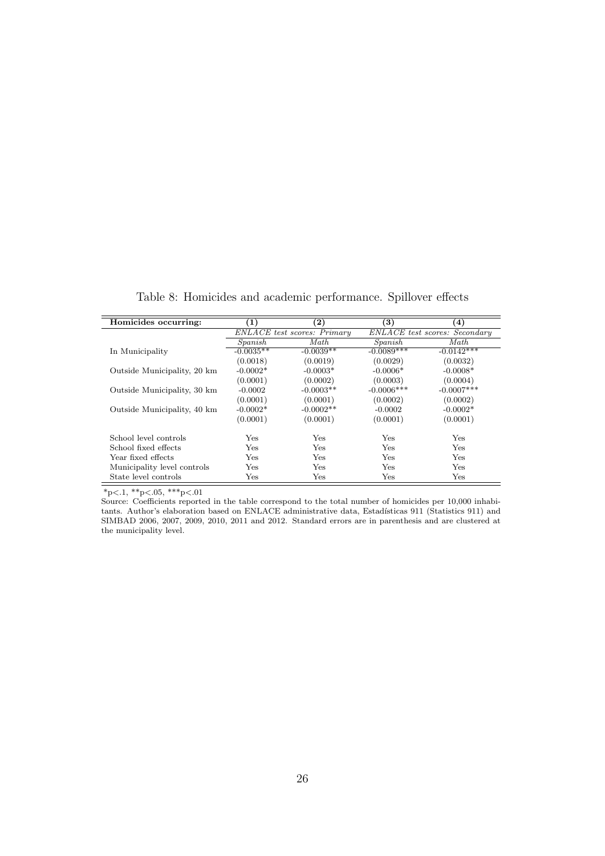<span id="page-25-0"></span>

| Homicides occurring:        | (1)                         | $\bf (2)$    | $\bf(3)$      | $\bf(4)$                      |
|-----------------------------|-----------------------------|--------------|---------------|-------------------------------|
|                             | ENLACE test scores: Primary |              |               | ENLACE test scores: Secondary |
|                             | Spanish                     | Math         | Spanish       | Math                          |
| In Municipality             | $-0.0035**$                 | $-0.0039**$  | $-0.0089***$  | $-0.0142***$                  |
|                             | (0.0018)                    | (0.0019)     | (0.0029)      | (0.0032)                      |
| Outside Municipality, 20 km | $-0.0002*$                  | $-0.0003*$   | $-0.0006*$    | $-0.0008*$                    |
|                             | (0.0001)                    | (0.0002)     | (0.0003)      | (0.0004)                      |
| Outside Municipality, 30 km | $-0.0002$                   | $-0.0003**$  | $-0.0006$ *** | $-0.0007***$                  |
|                             | (0.0001)                    | (0.0001)     | (0.0002)      | (0.0002)                      |
| Outside Municipality, 40 km | $-0.0002*$                  | $-0.0002**$  | $-0.0002$     | $-0.0002*$                    |
|                             | (0.0001)                    | (0.0001)     | (0.0001)      | (0.0001)                      |
| School level controls       | Yes                         | Yes          | Yes           | <b>Yes</b>                    |
| School fixed effects        | Yes                         | Yes          | Yes           | <b>Yes</b>                    |
| Year fixed effects          | Yes                         | Yes          | Yes           | <b>Yes</b>                    |
| Municipality level controls | Yes                         | $_{\rm Yes}$ | Yes           | Yes                           |
| State level controls        | Yes                         | $_{\rm Yes}$ | $_{\rm Yes}$  | Yes                           |

Table 8: Homicides and academic performance. Spillover effects

Source: Coefficients reported in the table correspond to the total number of homicides per 10,000 inhabitants. Author's elaboration based on ENLACE administrative data, Estadísticas 911 (Statistics 911) and SIMBAD 2006, 2007, 2009, 2010, 2011 and 2012. Standard errors are in parenthesis and are clustered at the municipality level.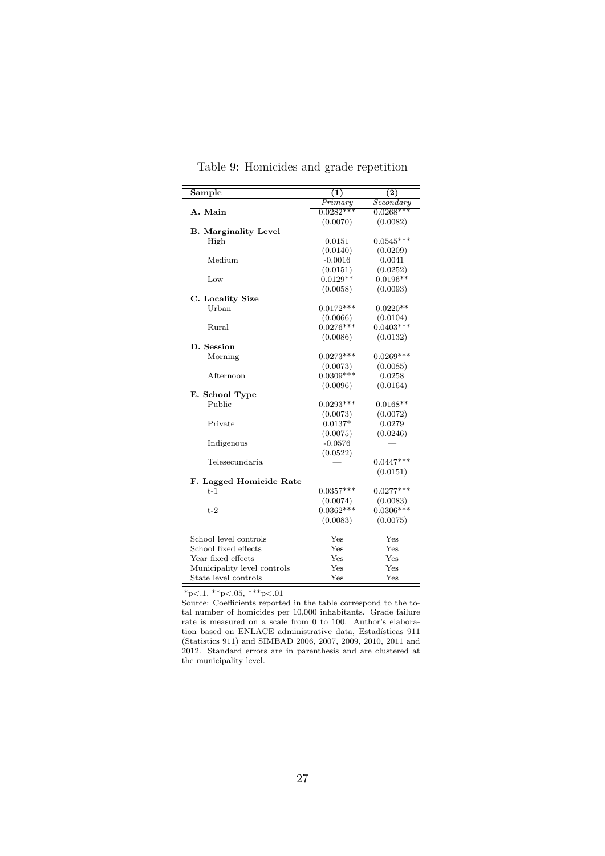<span id="page-26-0"></span>

| Sample                      | (1)          | (2)         |
|-----------------------------|--------------|-------------|
|                             | Primary      | Secondary   |
| A. Main                     | $0.0282***$  | $0.0268***$ |
|                             | (0.0070)     | (0.0082)    |
| <b>B.</b> Marginality Level |              |             |
| High                        | 0.0151       | $0.0545***$ |
|                             | (0.0140)     | (0.0209)    |
| Medium                      | $-0.0016$    | 0.0041      |
|                             | (0.0151)     | (0.0252)    |
| Low                         | $0.0129**$   | $0.0196**$  |
|                             | (0.0058)     | (0.0093)    |
| C. Locality Size            |              |             |
| Urban                       | $0.0172***$  | $0.0220**$  |
|                             | (0.0066)     | (0.0104)    |
| Rural                       | $0.0276***$  | $0.0403***$ |
|                             | (0.0086)     | (0.0132)    |
| D. Session                  |              |             |
| Morning                     | $0.0273***$  | $0.0269***$ |
|                             | (0.0073)     | (0.0085)    |
| Afternoon                   | $0.0309***$  | 0.0258      |
|                             | (0.0096)     | (0.0164)    |
| E. School Type              |              |             |
| Public                      | $0.0293***$  | $0.0168**$  |
|                             | (0.0073)     | (0.0072)    |
| Private                     | $0.0137*$    | 0.0279      |
|                             | (0.0075)     | (0.0246)    |
| Indigenous                  | $-0.0576$    |             |
|                             | (0.0522)     |             |
| Telesecundaria              |              | $0.0447***$ |
|                             |              | (0.0151)    |
| F. Lagged Homicide Rate     |              |             |
| $t-1$                       | $0.0357***$  | $0.0277***$ |
|                             | (0.0074)     | (0.0083)    |
| $t-2$                       | $0.0362***$  | $0.0306***$ |
|                             | (0.0083)     | (0.0075)    |
| School level controls       | $_{\rm Yes}$ | Yes         |
| School fixed effects        | Yes          | Yes         |
| Year fixed effects          | Yes          | Yes         |
| Municipality level controls | Yes          | Yes         |
| State level controls        | Yes          | Yes         |

Table 9: Homicides and grade repetition

 $*_{p<.1,**_{p<.05,***_{p<.01}}$ 

Source: Coefficients reported in the table correspond to the total number of homicides per 10,000 inhabitants. Grade failure rate is measured on a scale from 0 to 100. Author's elaboration based on ENLACE administrative data, Estadísticas 911 (Statistics 911) and SIMBAD 2006, 2007, 2009, 2010, 2011 and 2012. Standard errors are in parenthesis and are clustered at the municipality level.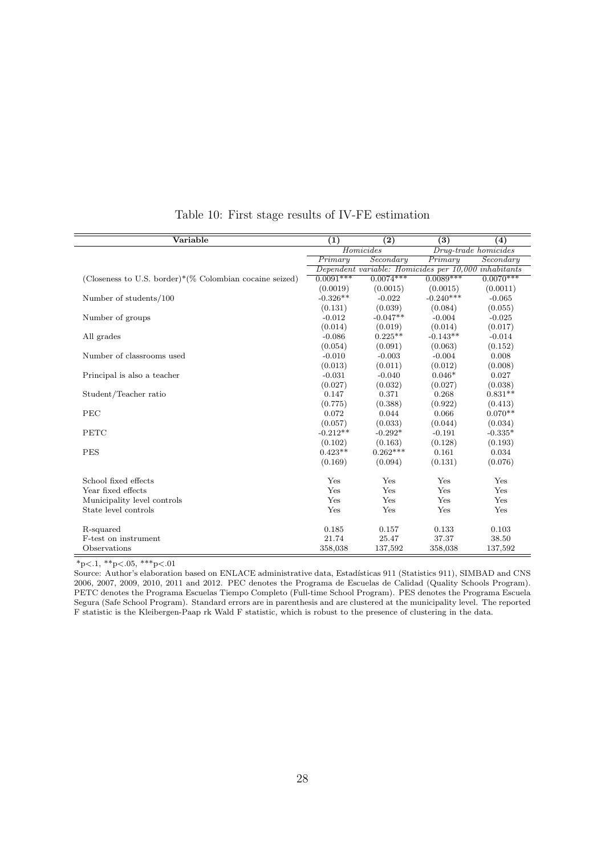<span id="page-27-0"></span>

| Variable                                                    | (1)         | $\overline{(2)}$                                     | $\overline{(3)}$ | (4)                  |
|-------------------------------------------------------------|-------------|------------------------------------------------------|------------------|----------------------|
|                                                             |             | Homicides                                            |                  | Drug-trade homicides |
|                                                             | Primary     | Secondary                                            | Primary          | Secondary            |
|                                                             |             | Dependent variable: Homicides per 10,000 inhabitants |                  |                      |
| (Closeness to U.S. border)* $(\%$ Colombian cocaine seized) | $0.0091***$ | $0.0074***$                                          | $0.0089***$      | $0.0070***$          |
|                                                             | (0.0019)    | (0.0015)                                             | (0.0015)         | (0.0011)             |
| Number of students/100                                      | $-0.326**$  | $-0.022$                                             | $-0.240***$      | $-0.065$             |
|                                                             | (0.131)     | (0.039)                                              | (0.084)          | (0.055)              |
| Number of groups                                            | $-0.012$    | $-0.047**$                                           | $-0.004$         | $-0.025$             |
|                                                             | (0.014)     | (0.019)                                              | (0.014)          | (0.017)              |
| All grades                                                  | $-0.086$    | $0.225**$                                            | $-0.143**$       | $-0.014$             |
|                                                             | (0.054)     | (0.091)                                              | (0.063)          | (0.152)              |
| Number of classrooms used                                   | $-0.010$    | $-0.003$                                             | $-0.004$         | 0.008                |
|                                                             | (0.013)     | (0.011)                                              | (0.012)          | (0.008)              |
| Principal is also a teacher                                 | $-0.031$    | $-0.040$                                             | $0.046*$         | 0.027                |
|                                                             | (0.027)     | (0.032)                                              | (0.027)          | (0.038)              |
| Student/Teacher ratio                                       | 0.147       | 0.371                                                | 0.268            | $0.831**$            |
|                                                             | (0.775)     | (0.388)                                              | (0.922)          | (0.413)              |
| PEC                                                         | 0.072       | 0.044                                                | 0.066            | $0.070**$            |
|                                                             | (0.057)     | (0.033)                                              | (0.044)          | (0.034)              |
| PETC                                                        | $-0.212**$  | $-0.292*$                                            | $-0.191$         | $-0.335*$            |
|                                                             | (0.102)     | (0.163)                                              | (0.128)          | (0.193)              |
| <b>PES</b>                                                  | $0.423**$   | $0.262***$                                           | 0.161            | 0.034                |
|                                                             | (0.169)     | (0.094)                                              | (0.131)          | (0.076)              |
| School fixed effects                                        | Yes         | Yes                                                  | Yes              | Yes                  |
| Year fixed effects                                          | Yes         | Yes                                                  | Yes              | Yes                  |
| Municipality level controls                                 | Yes         | Yes                                                  | Yes              | Yes                  |
| State level controls                                        | Yes         | Yes                                                  | Yes              | Yes                  |
| R-squared                                                   | 0.185       | 0.157                                                | 0.133            | 0.103                |
| F-test on instrument                                        | 21.74       | 25.47                                                | 37.37            | 38.50                |
| Observations                                                | 358,038     | 137,592                                              | 358,038          | 137,592              |

Table 10: First stage results of IV-FE estimation

 $*_{p<.1,**p<.05,***p<.01}$ 

Source: Author's elaboration based on ENLACE administrative data, Estadísticas 911 (Statistics 911), SIMBAD and CNS 2006, 2007, 2009, 2010, 2011 and 2012. PEC denotes the Programa de Escuelas de Calidad (Quality Schools Program). PETC denotes the Programa Escuelas Tiempo Completo (Full-time School Program). PES denotes the Programa Escuela Segura (Safe School Program). Standard errors are in parenthesis and are clustered at the municipality level. The reported F statistic is the Kleibergen-Paap rk Wald F statistic, which is robust to the presence of clustering in the data.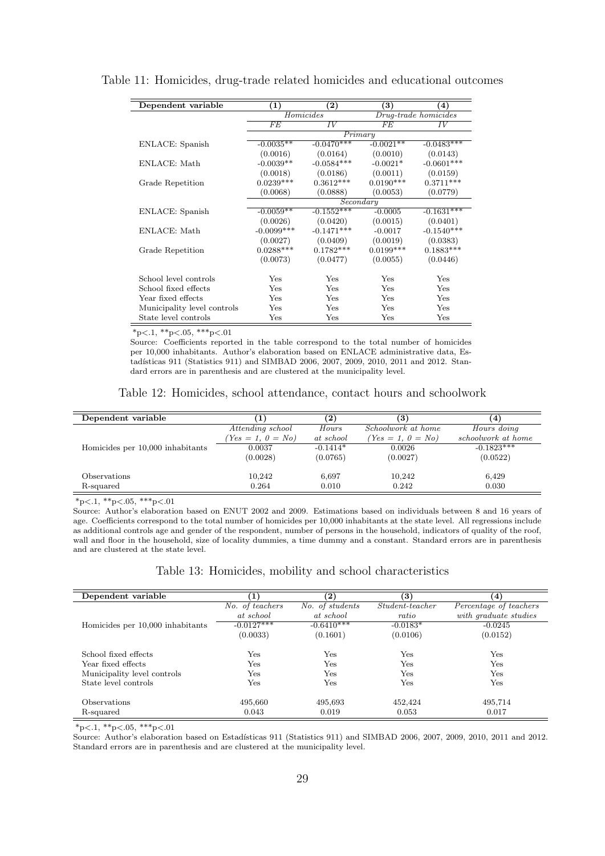| Dependent variable          | (1)          | $\mathbf{2}$    | $\mathbf{3}$ | $\left( 4\right)$    |
|-----------------------------|--------------|-----------------|--------------|----------------------|
|                             |              | Homicides       |              | Drug-trade homicides |
|                             | FE           | $\overline{IV}$ | FE           | IV                   |
|                             |              | Primary         |              |                      |
| ENLACE: Spanish             | $-0.0035**$  | $-0.0470***$    | $-0.0021**$  | $-0.0483***$         |
|                             | (0.0016)     | (0.0164)        | (0.0010)     | (0.0143)             |
| ENLACE: Math                | $-0.0039**$  | $-0.0584***$    | $-0.0021*$   | $-0.0601***$         |
|                             | (0.0018)     | (0.0186)        | (0.0011)     | (0.0159)             |
| Grade Repetition            | $0.0239***$  | $0.3612***$     | $0.0190***$  | $0.3711***$          |
|                             | (0.0068)     | (0.0888)        | (0.0053)     | (0.0779)             |
|                             |              | Secondary       |              |                      |
| ENLACE: Spanish             | $-0.0059**$  | $-0.1552***$    | $-0.0005$    | $-0.1631***$         |
|                             | (0.0026)     | (0.0420)        | (0.0015)     | (0.0401)             |
| ENLACE: Math                | $-0.0099***$ | $-0.1471***$    | $-0.0017$    | $-0.1540***$         |
|                             | (0.0027)     | (0.0409)        | (0.0019)     | (0.0383)             |
| Grade Repetition            | $0.0288***$  | $0.1782***$     | $0.0199***$  | $0.1883***$          |
|                             | (0.0073)     | (0.0477)        | (0.0055)     | (0.0446)             |
|                             |              |                 |              |                      |
| School level controls       | Yes          | Yes             | $_{\rm Yes}$ | Yes                  |
| School fixed effects        | Yes          | Yes             | Yes          | Yes                  |
| Year fixed effects          | Yes          | Yes             | Yes          | Yes                  |
| Municipality level controls | Yes          | Yes             | Yes          | Yes                  |
| State level controls        | $_{\rm Yes}$ | Yes             | $_{\rm Yes}$ | Yes                  |

<span id="page-28-0"></span>Table 11: Homicides, drug-trade related homicides and educational outcomes

 $*_{p<.1,**_{p<.05,***_{p<.01}}$ 

Source: Coefficients reported in the table correspond to the total number of homicides per 10,000 inhabitants. Author's elaboration based on ENLACE administrative data, Estadísticas 911 (Statistics 911) and SIMBAD 2006, 2007, 2009, 2010, 2011 and 2012. Standard errors are in parenthesis and are clustered at the municipality level.

|  |  |  | Table 12: Homicides, school attendance, contact hours and schoolwork |  |  |  |  |  |  |
|--|--|--|----------------------------------------------------------------------|--|--|--|--|--|--|
|--|--|--|----------------------------------------------------------------------|--|--|--|--|--|--|

<span id="page-28-1"></span>

| Dependent variable               |                    | $\mathbf{2}$ | $\left( 3\right)$   | 4)                 |
|----------------------------------|--------------------|--------------|---------------------|--------------------|
|                                  | Attending school   | Hours        | Schoolwork at home  | Hours doing        |
|                                  | $Yes = 1, 0 = No)$ | at school    | $(Yes = 1, 0 = No)$ | schoolwork at home |
| Homicides per 10,000 inhabitants | 0.0037             | $-0.1414*$   | 0.0026              | $-0.1823***$       |
|                                  | (0.0028)           | (0.0765)     | (0.0027)            | (0.0522)           |
|                                  |                    |              |                     |                    |
| Observations                     | 10,242             | 6,697        | 10,242              | 6,429              |
| R-squared                        | 0.264              | 0.010        | 0.242               | 0.030              |

 $*p<.1$ ,  $*p<.05$ ,  $***p<.01$ 

Source: Author's elaboration based on ENUT 2002 and 2009. Estimations based on individuals between 8 and 16 years of age. Coefficients correspond to the total number of homicides per 10,000 inhabitants at the state level. All regressions include as additional controls age and gender of the respondent, number of persons in the household, indicators of quality of the roof, wall and floor in the household, size of locality dummies, a time dummy and a constant. Standard errors are in parenthesis and are clustered at the state level.

#### Table 13: Homicides, mobility and school characteristics

<span id="page-28-2"></span>

| Dependent variable               | $\bf (1)$       | $\bf(2)$        | $\bf (3)$                | (4)                    |
|----------------------------------|-----------------|-----------------|--------------------------|------------------------|
|                                  | No. of teachers | No. of students | $Student\text{-}teacher$ | Percentage of teachers |
|                                  | at school       | at school       | ratio                    | with graduate studies  |
| Homicides per 10,000 inhabitants | $-0.0127***$    | $-0.6410***$    | $-0.0183*$               | $-0.0245$              |
|                                  | (0.0033)        | (0.1601)        | (0.0106)                 | (0.0152)               |
|                                  |                 |                 |                          |                        |
| School fixed effects             | Yes             | $_{\rm Yes}$    | $_{\rm Yes}$             | Yes                    |
| Year fixed effects               | $_{\rm Yes}$    | $_{\rm Yes}$    | $_{\rm Yes}$             | Yes                    |
| Municipality level controls      | $_{\rm Yes}$    | $_{\rm Yes}$    | $_{\rm Yes}$             | Yes                    |
| State level controls             | $_{\rm Yes}$    | $_{\rm Yes}$    | $_{\rm Yes}$             | Yes                    |
|                                  |                 |                 |                          |                        |
| <b>Observations</b>              | 495,660         | 495,693         | 452,424                  | 495,714                |
| R-squared                        | 0.043           | 0.019           | 0.053                    | 0.017                  |

 $*_{p<.1, *_{p<.05, *}_{p<.01}$ 

Source: Author's elaboration based on Estadísticas 911 (Statistics 911) and SIMBAD 2006, 2007, 2009, 2010, 2011 and 2012. Standard errors are in parenthesis and are clustered at the municipality level.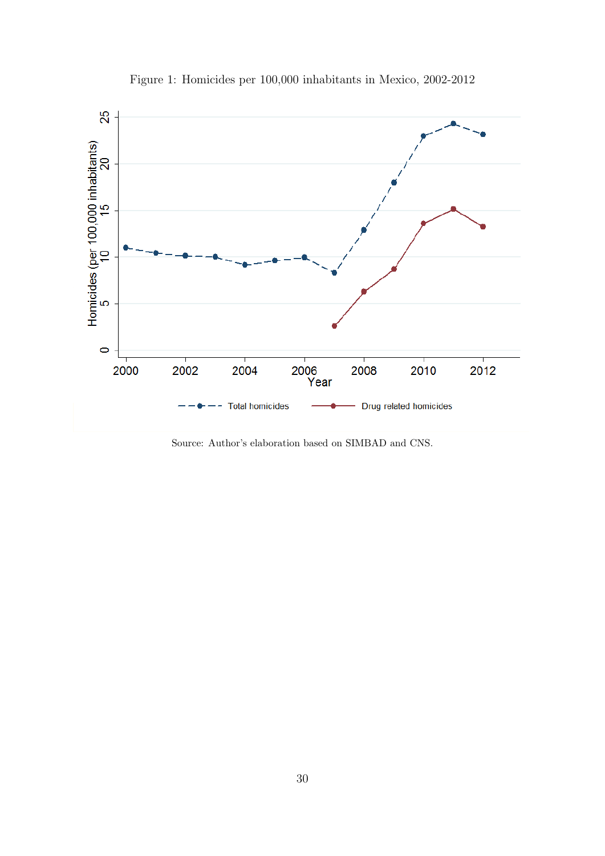<span id="page-29-0"></span>

Figure 1: Homicides per 100,000 inhabitants in Mexico, 2002-2012

Source: Author's elaboration based on SIMBAD and CNS.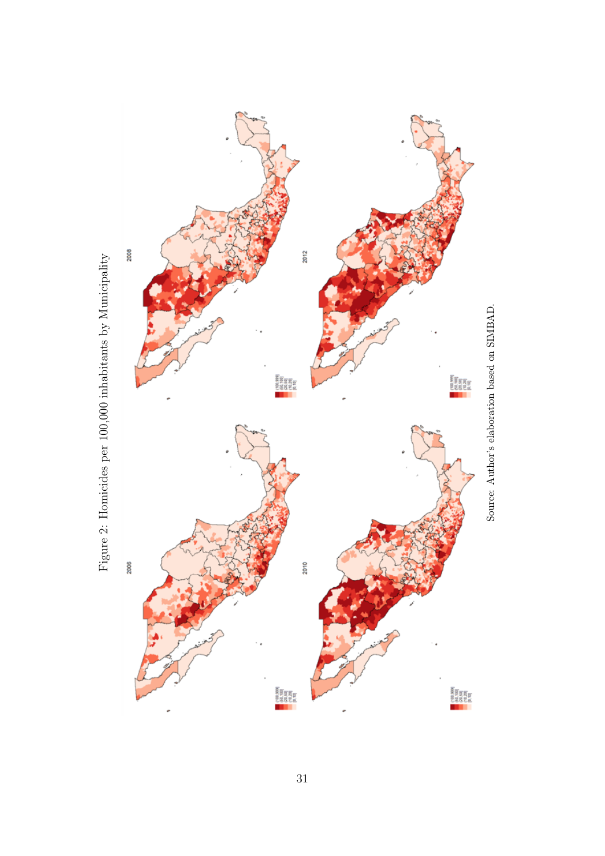

<span id="page-30-0"></span>Figure 2: Homicides per 100,000 inhabitants by Municipality Figure 2: Homicides per 100,000 inhabitants by Municipality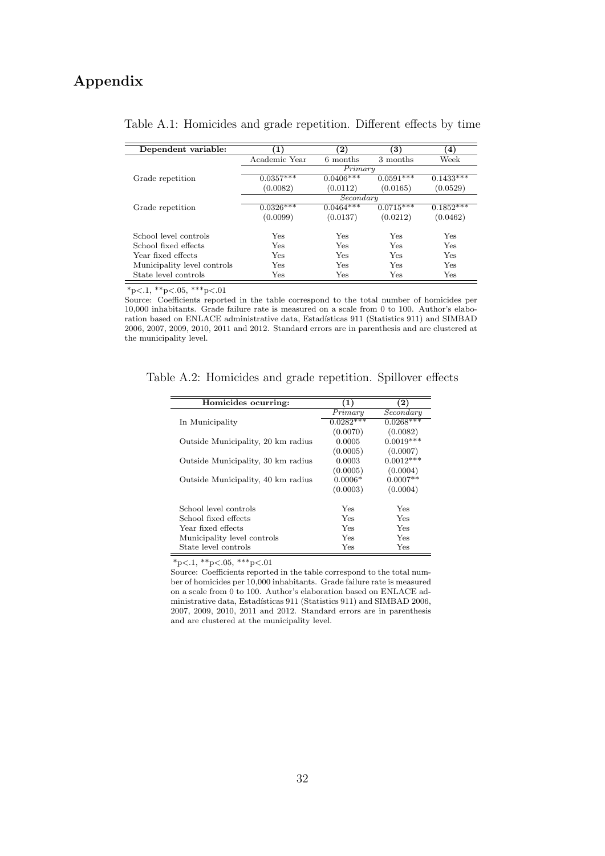## Appendix

<span id="page-31-0"></span>

| Dependent variable:         | (1)           | $\bf (2)$   | 3)          | $\left( 4\right)$ |  |
|-----------------------------|---------------|-------------|-------------|-------------------|--|
|                             | Academic Year | 6 months    | 3 months    | Week              |  |
|                             | Primary       |             |             |                   |  |
| Grade repetition            | $0.0357***$   | $0.0406***$ | $0.0591***$ | $0.1433***$       |  |
|                             | (0.0082)      | (0.0112)    | (0.0165)    | (0.0529)          |  |
|                             | Secondary     |             |             |                   |  |
| Grade repetition            | $0.0326***$   | $0.0464***$ | $0.0715***$ | $0.1852***$       |  |
|                             | (0.0099)      | (0.0137)    | (0.0212)    | (0.0462)          |  |
| School level controls       | Yes           | Yes         | Yes         | Yes               |  |
| School fixed effects        | Yes           | Yes         | Yes         | Yes               |  |
| Year fixed effects          | Yes           | Yes         | Yes         | Yes               |  |
| Municipality level controls | Yes           | Yes         | Yes         | Yes               |  |
| State level controls        | Yes           | Yes         | Yes         | Yes               |  |

## Table A.1: Homicides and grade repetition. Different effects by time

 $\frac{1}{\sqrt{\frac{1}{2}p\cdot(1, \sqrt[3]{p}\cdot(0, 0, 0))}}$  \*\*\*p<.01

Source: Coefficients reported in the table correspond to the total number of homicides per 10,000 inhabitants. Grade failure rate is measured on a scale from 0 to 100. Author's elaboration based on ENLACE administrative data, Estadísticas 911 (Statistics 911) and SIMBAD 2006, 2007, 2009, 2010, 2011 and 2012. Standard errors are in parenthesis and are clustered at the municipality level.

<span id="page-31-1"></span>Table A.2: Homicides and grade repetition. Spillover effects

| Homicides ocurring:                | (1)         | $\bf (2)$   |
|------------------------------------|-------------|-------------|
|                                    | Primary     | Secondary   |
| In Municipality                    | $0.0282***$ | $0.0268***$ |
|                                    | (0.0070)    | (0.0082)    |
| Outside Municipality, 20 km radius | 0.0005      | $0.0019***$ |
|                                    | (0.0005)    | (0.0007)    |
| Outside Municipality, 30 km radius | 0.0003      | $0.0012***$ |
|                                    | (0.0005)    | (0.0004)    |
| Outside Municipality, 40 km radius | $0.0006*$   | $0.0007**$  |
|                                    | (0.0003)    | (0.0004)    |
|                                    |             |             |
| School level controls              | Yes         | Yes         |
| School fixed effects               | Yes         | Yes         |
| Year fixed effects                 | Yes         | Yes         |
| Municipality level controls        | Yes         | <b>Yes</b>  |
| State level controls               | Yes         | Yes         |

 $*p<.1$ ,  $*p<.05$ ,  $***p<.01$ 

Source: Coefficients reported in the table correspond to the total number of homicides per 10,000 inhabitants. Grade failure rate is measured on a scale from 0 to 100. Author's elaboration based on ENLACE administrative data, Estadísticas 911 (Statistics 911) and SIMBAD 2006, 2007, 2009, 2010, 2011 and 2012. Standard errors are in parenthesis and are clustered at the municipality level.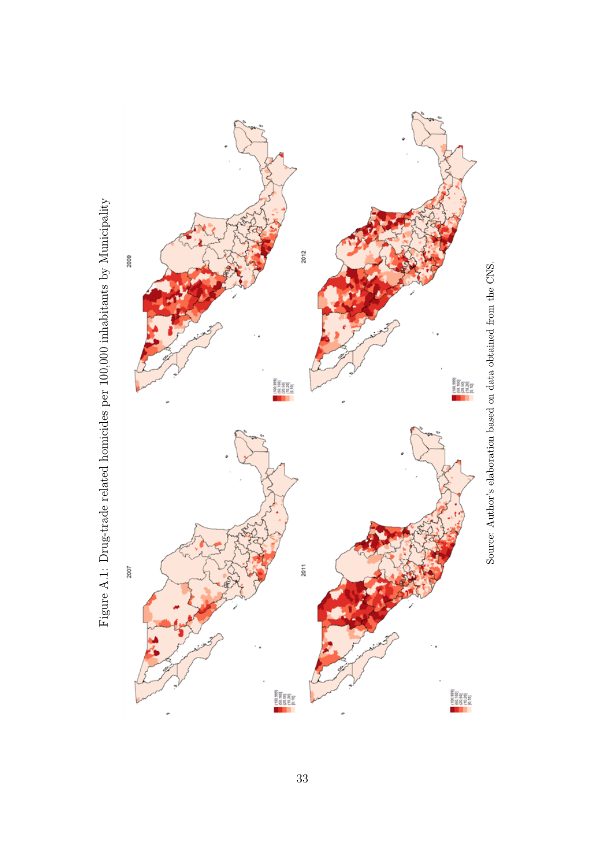<span id="page-32-0"></span>